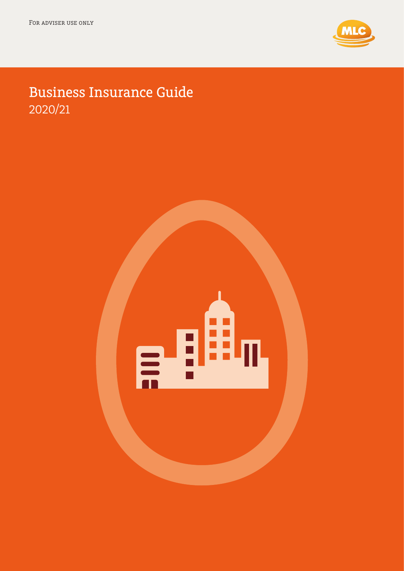

# Business Insurance Guide 2020/21

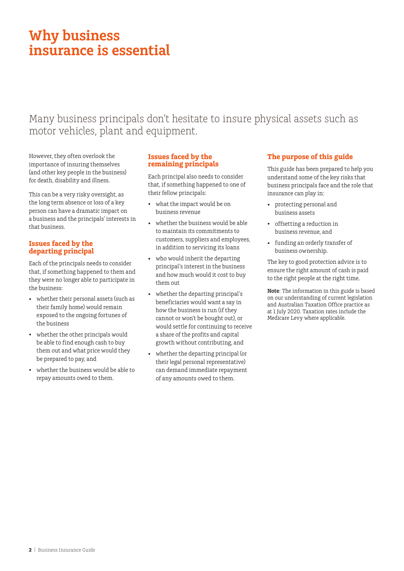# **Why business insurance is essential**

## Many business principals don't hesitate to insure physical assets such as motor vehicles, plant and equipment.

However, they often overlook the importance of insuring themselves (and other key people in the business) for death, disability and illness.

This can be a very risky oversight, as the long term absence or loss of a key person can have a dramatic impact on a business and the principals' interests in that business.

### **Issues faced by the departing principal**

Each of the principals needs to consider that, if something happened to them and they were no longer able to participate in the business:

- whether their personal assets (such as their family home) would remain exposed to the ongoing fortunes of the business
- whether the other principals would be able to find enough cash to buy them out and what price would they be prepared to pay, and
- whether the business would be able to repay amounts owed to them.

### **Issues faced by the remaining principals**

Each principal also needs to consider that, if something happened to one of their fellow principals:

- what the impact would be on business revenue
- whether the business would be able to maintain its commitments to customers, suppliers and employees, in addition to servicing its loans
- who would inherit the departing principal's interest in the business and how much would it cost to buy them out
- whether the departing principal's beneficiaries would want a say in how the business is run (if they cannot or won't be bought out), or would settle for continuing to receive a share of the profits and capital growth without contributing, and
- whether the departing principal (or their legal personal representative) can demand immediate repayment of any amounts owed to them.

### **The purpose of this guide**

This guide has been prepared to help you understand some of the key risks that business principals face and the role that insurance can play in:

- protecting personal and business assets
- offsetting a reduction in business revenue, and
- funding an orderly transfer of business ownership.

The key to good protection advice is to ensure the right amount of cash is paid to the right people at the right time.

**Note**: The information in this guide is based on our understanding of current legislation and Australian Taxation Office practice as at 1 July 2020. Taxation rates include the Medicare Levy where applicable.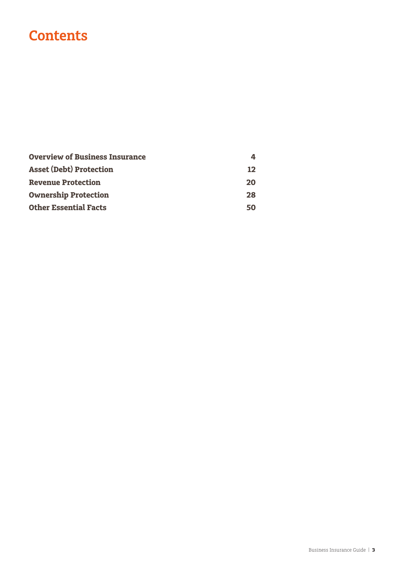# **Contents**

| <b>Overview of Business Insurance</b> | 4  |
|---------------------------------------|----|
| <b>Asset (Debt) Protection</b>        | 12 |
| <b>Revenue Protection</b>             | 20 |
| <b>Ownership Protection</b>           | 28 |
| <b>Other Essential Facts</b>          | 50 |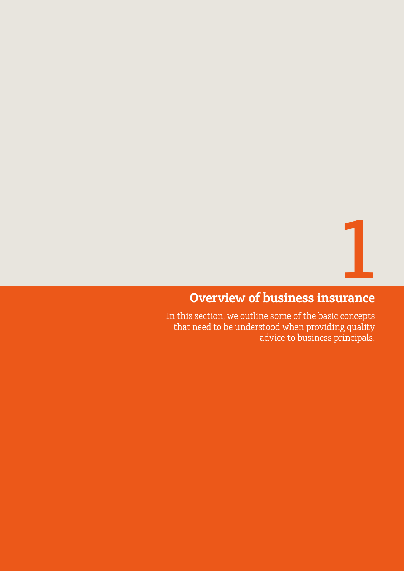**1** 

## <span id="page-3-0"></span>**Overview of business insurance**

In this section, we outline some of the basic concepts that need to be understood when providing quality advice to business principals.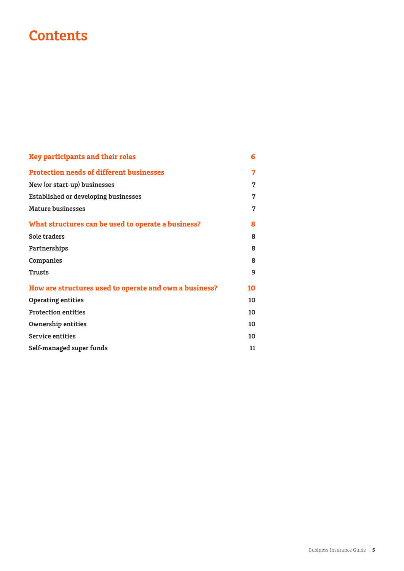# **Contents**

| <b>Key participants and their roles</b>                | 6  |
|--------------------------------------------------------|----|
| <b>Protection needs of different businesses</b>        | 7  |
| New (or start-up) businesses                           | 7  |
| <b>Established or developing businesses</b>            | 7  |
| <b>Mature businesses</b>                               | 7  |
| What structures can be used to operate a business?     | 8  |
| Sole traders                                           | 8  |
| Partnerships                                           | 8  |
| Companies                                              | 8  |
| <b>Trusts</b>                                          | 9  |
| How are structures used to operate and own a business? | 10 |
| <b>Operating entities</b>                              | 10 |
| <b>Protection entities</b>                             | 10 |
| <b>Ownership entities</b>                              | 10 |
| <b>Service entities</b>                                | 10 |
| Self-managed super funds                               | 11 |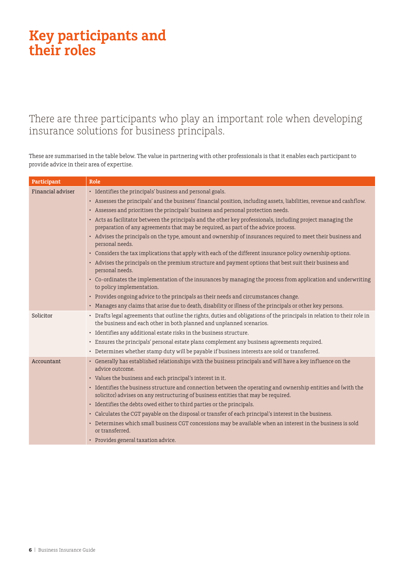# <span id="page-5-0"></span>**Key participants and their roles**

There are three participants who play an important role when developing insurance solutions for business principals.

These are summarised in the table below. The value in partnering with other professionals is that it enables each participant to provide advice in their area of expertise.

| Participant       | Role                                                                                                                                                                                                |
|-------------------|-----------------------------------------------------------------------------------------------------------------------------------------------------------------------------------------------------|
| Financial adviser | • Identifies the principals' business and personal goals.                                                                                                                                           |
|                   | • Assesses the principals' and the business' financial position, including assets, liabilities, revenue and cashflow.                                                                               |
|                   | • Assesses and prioritises the principals' business and personal protection needs.                                                                                                                  |
|                   | • Acts as facilitator between the principals and the other key professionals, including project managing the<br>preparation of any agreements that may be required, as part of the advice process.  |
|                   | • Advises the principals on the type, amount and ownership of insurances required to meet their business and<br>personal needs.                                                                     |
|                   | • Considers the tax implications that apply with each of the different insurance policy ownership options.                                                                                          |
|                   | • Advises the principals on the premium structure and payment options that best suit their business and<br>personal needs.                                                                          |
|                   | • Co-ordinates the implementation of the insurances by managing the process from application and underwriting<br>to policy implementation.                                                          |
|                   | • Provides ongoing advice to the principals as their needs and circumstances change.                                                                                                                |
|                   | • Manages any claims that arise due to death, disability or illness of the principals or other key persons.                                                                                         |
| Solicitor         | • Drafts legal agreements that outline the rights, duties and obligations of the principals in relation to their role in<br>the business and each other in both planned and unplanned scenarios.    |
|                   | • Identifies any additional estate risks in the business structure.                                                                                                                                 |
|                   | • Ensures the principals' personal estate plans complement any business agreements required.                                                                                                        |
|                   | • Determines whether stamp duty will be payable if business interests are sold or transferred.                                                                                                      |
| Accountant        | • Generally has established relationships with the business principals and will have a key influence on the<br>advice outcome.                                                                      |
|                   | • Values the business and each principal's interest in it.                                                                                                                                          |
|                   | • Identifies the business structure and connection between the operating and ownership entities and (with the<br>solicitor) advises on any restructuring of business entities that may be required. |
|                   | • Identifies the debts owed either to third parties or the principals.                                                                                                                              |
|                   | • Calculates the CGT payable on the disposal or transfer of each principal's interest in the business.                                                                                              |
|                   | • Determines which small business CGT concessions may be available when an interest in the business is sold<br>or transferred.                                                                      |
|                   | • Provides general taxation advice.                                                                                                                                                                 |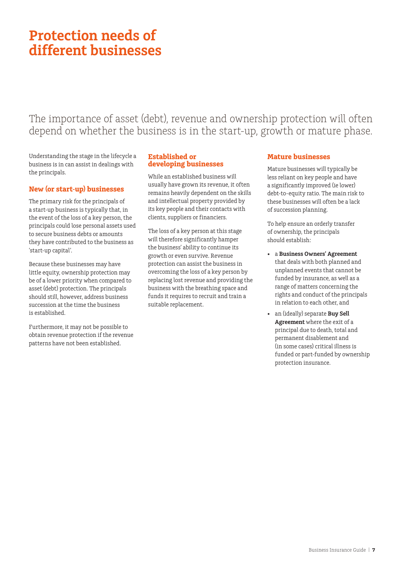# <span id="page-6-0"></span>**Protection needs of different businesses**

The importance of asset (debt), revenue and ownership protection will often depend on whether the business is in the start-up, growth or mature phase.

Understanding the stage in the lifecycle a business is in can assist in dealings with the principals.

#### **New (or start-up) businesses**

The primary risk for the principals of a start-up business is typically that, in the event of the loss of a key person, the principals could lose personal assets used to secure business debts or amounts they have contributed to the business as 'start-up capital'.

Because these businesses may have little equity, ownership protection may be of a lower priority when compared to asset (debt) protection. The principals should still, however, address business succession at the time the business is established.

Furthermore, it may not be possible to obtain revenue protection if the revenue patterns have not been established.

#### **Established or developing businesses**

While an established business will usually have grown its revenue, it often remains heavily dependent on the skills and intellectual property provided by its key people and their contacts with clients, suppliers or financiers.

The loss of a key person at this stage will therefore significantly hamper the business' ability to continue its growth or even survive. Revenue protection can assist the business in overcoming the loss of a key person by replacing lost revenue and providing the business with the breathing space and funds it requires to recruit and train a suitable replacement.

#### **Mature businesses**

Mature businesses will typically be less reliant on key people and have a significantly improved (ie lower) debt-to-equity ratio. The main risk to these businesses will often be a lack of succession planning.

To help ensure an orderly transfer of ownership, the principals should establish:

- a **Business Owners' Agreement** that deals with both planned and unplanned events that cannot be funded by insurance, as well as a range of matters concerning the rights and conduct of the principals in relation to each other, and
- an (ideally) separate **Buy Sell Agreement** where the exit of a principal due to death, total and permanent disablement and (in some cases) critical illness is funded or part-funded by ownership protection insurance.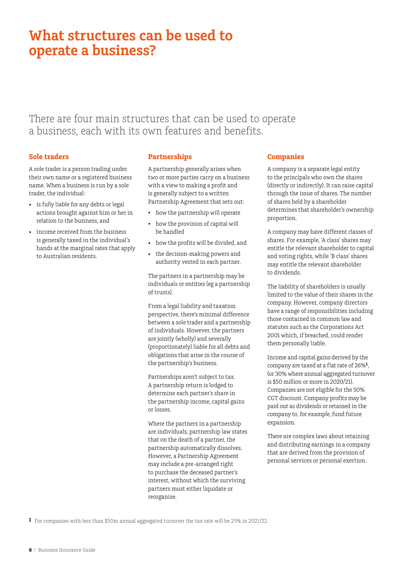## <span id="page-7-0"></span>**What structures can be used to operate a business?**

There are four main structures that can be used to operate a business, each with its own features and benefits.

#### **Sole traders**

A sole trader is a person trading under their own name or a registered business name. When a business is run by a sole trader, the individual:

- is fully liable for any debts or legal actions brought against him or her in relation to the business, and
- income received from the business is generally taxed in the individual's hands at the marginal rates that apply to Australian residents.

#### **Partnerships**

A partnership generally arises when two or more parties carry on a business with a view to making a profit and is generally subject to a written Partnership Agreement that sets out:

- how the partnership will operate
- how the provision of capital will be handled
- how the profits will be divided, and
- the decision-making powers and authority vested in each partner.

The partners in a partnership may be individuals or entities (eg a partnership of trusts).

From a legal liability and taxation perspective, there's minimal difference between a sole trader and a partnership of individuals. However, the partners are jointly (wholly) and severally (proportionately) liable for all debts and obligations that arise in the course of the partnership's business.

Partnerships aren't subject to tax. A partnership return is lodged to determine each partner's share in the partnership income, capital gains or losses.

Where the partners in a partnership are individuals, partnership law states that on the death of a partner, the partnership automatically dissolves. However, a Partnership Agreement may include a pre-arranged right to purchase the deceased partner's interest, without which the surviving partners must either liquidate or reorganise.

#### **Companies**

A company is a separate legal entity to the principals who own the shares (directly or indirectly). It can raise capital through the issue of shares. The number of shares held by a shareholder determines that shareholder's ownership proportion.

A company may have different classes of shares. For example, 'A class' shares may entitle the relevant shareholder to capital and voting rights, while 'B class' shares may entitle the relevant shareholder to dividends.

The liability of shareholders is usually limited to the value of their shares in the company. However, company directors have a range of responsibilities including those contained in common law and statutes such as the Corporations Act 2001 which, if breached, could render them personally liable.

Income and capital gains derived by the company are taxed at a flat rate of 26%**1**, (or 30% where annual aggregated turnover is \$50 million or more in 2020/21). Companies are not eligible for the 50% CGT discount. Company profits may be paid out as dividends or retained in the company to, for example, fund future expansion.

There are complex laws about retaining and distributing earnings in a company that are derived from the provision of personal services or personal exertion.

**1** For companies with less than \$50m annual aggregated turnover the tax rate will be 25% in 2021/22.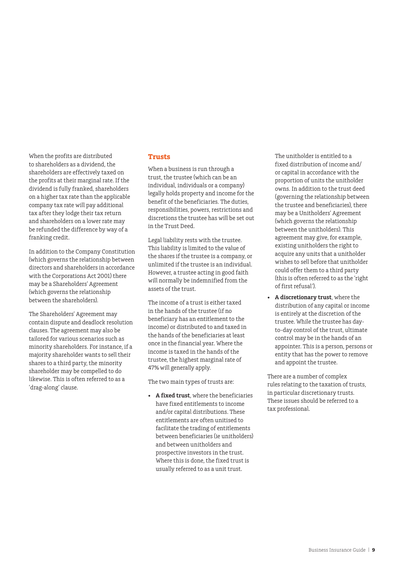<span id="page-8-0"></span>When the profits are distributed to shareholders as a dividend, the shareholders are effectively taxed on the profits at their marginal rate. If the dividend is fully franked, shareholders on a higher tax rate than the applicable company tax rate will pay additional tax after they lodge their tax return and shareholders on a lower rate may be refunded the difference by way of a franking credit.

In addition to the Company Constitution (which governs the relationship between directors and shareholders in accordance with the Corporations Act 2001) there may be a Shareholders' Agreement (which governs the relationship between the shareholders).

The Shareholders' Agreement may contain dispute and deadlock resolution clauses. The agreement may also be tailored for various scenarios such as minority shareholders. For instance, if a majority shareholder wants to sell their shares to a third party, the minority shareholder may be compelled to do likewise. This is often referred to as a 'drag-along' clause.

#### **Trusts**

When a business is run through a trust, the trustee (which can be an individual, individuals or a company) legally holds property and income for the benefit of the beneficiaries. The duties, responsibilities, powers, restrictions and discretions the trustee has will be set out in the Trust Deed.

Legal liability rests with the trustee. This liability is limited to the value of the shares if the trustee is a company, or unlimited if the trustee is an individual. However, a trustee acting in good faith will normally be indemnified from the assets of the trust.

The income of a trust is either taxed in the hands of the trustee (if no beneficiary has an entitlement to the income) or distributed to and taxed in the hands of the beneficiaries at least once in the financial year. Where the income is taxed in the hands of the trustee, the highest marginal rate of 47% will generally apply.

The two main types of trusts are:

• **A fixed trust**, where the beneficiaries have fixed entitlements to income and/or capital distributions. These entitlements are often unitised to facilitate the trading of entitlements between beneficiaries (ie unitholders) and between unitholders and prospective investors in the trust. Where this is done, the fixed trust is usually referred to as a unit trust.

The unitholder is entitled to a fixed distribution of income and/ or capital in accordance with the proportion of units the unitholder owns. In addition to the trust deed (governing the relationship between the trustee and beneficiaries), there may be a Unitholders' Agreement (which governs the relationship between the unitholders). This agreement may give, for example, existing unitholders the right to acquire any units that a unitholder wishes to sell before that unitholder could offer them to a third party (this is often referred to as the 'right of first refusal').

• **A discretionary trust**, where the distribution of any capital or income is entirely at the discretion of the trustee. While the trustee has dayto-day control of the trust, ultimate control may be in the hands of an appointer. This is a person, persons or entity that has the power to remove and appoint the trustee.

There are a number of complex rules relating to the taxation of trusts, in particular discretionary trusts. These issues should be referred to a tax professional.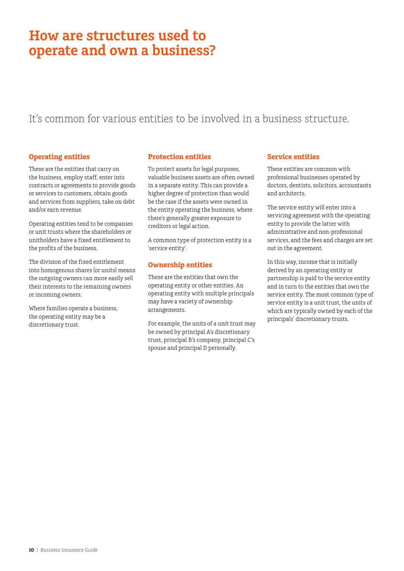## <span id="page-9-0"></span>**How are structures used to operate and own a business?**

## It's common for various entities to be involved in a business structure.

### **Operating entities**

These are the entities that carry on the business, employ staff, enter into contracts or agreements to provide goods or services to customers, obtain goods and services from suppliers, take on debt and/or earn revenue.

Operating entities tend to be companies or unit trusts where the shareholders or unitholders have a fixed entitlement to the profits of the business.

The division of the fixed entitlement into homogenous shares (or units) means the outgoing owners can more easily sell their interests to the remaining owners or incoming owners.

Where families operate a business, the operating entity may be a discretionary trust.

### **Protection entities**

To protect assets for legal purposes, valuable business assets are often owned in a separate entity. This can provide a higher degree of protection than would be the case if the assets were owned in the entity operating the business, where there's generally greater exposure to creditors or legal action.

A common type of protection entity is a 'service entity'.

### **Ownership entities**

These are the entities that own the operating entity or other entities. An operating entity with multiple principals may have a variety of ownership arrangements.

For example, the units of a unit trust may be owned by principal A's discretionary trust, principal B's company, principal C's spouse and principal D personally.

#### **Service entities**

These entities are common with professional businesses operated by doctors, dentists, solicitors, accountants and architects.

The service entity will enter into a servicing agreement with the operating entity to provide the latter with administrative and non-professional services, and the fees and charges are set out in the agreement.

In this way, income that is initially derived by an operating entity or partnership is paid to the service entity and in turn to the entities that own the service entity. The most common type of service entity is a unit trust, the units of which are typically owned by each of the principals' discretionary trusts.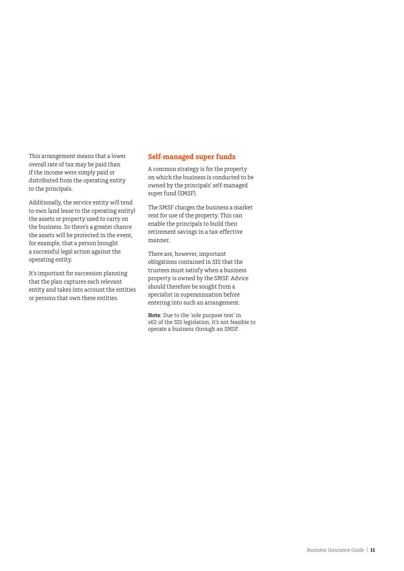<span id="page-10-0"></span>This arrangement means that a lower overall rate of tax may be paid than if the income were simply paid or distributed from the operating entity to the principals.

Additionally, the service entity will tend to own (and lease to the operating entity) the assets or property used to carry on the business. So there's a greater chance the assets will be protected in the event, for example, that a person brought a successful legal action against the operating entity.

It's important for succession planning that the plan captures each relevant entity and takes into account the entities or persons that own these entities.

### **Self-managed super funds**

A common strategy is for the property on which the business is conducted to be owned by the principals' self-managed super fund (SMSF).

The SMSF charges the business a market rent for use of the property. This can enable the principals to build their retirement savings in a tax-effective manner.

There are, however, important obligations contained in SIS that the trustees must satisfy when a business property is owned by the SMSF. Advice should therefore be sought from a specialist in superannuation before entering into such an arrangement.

**Note**: Due to the 'sole purpose test' in s62 of the SIS legislation, it's not feasible to operate a business through an SMSF.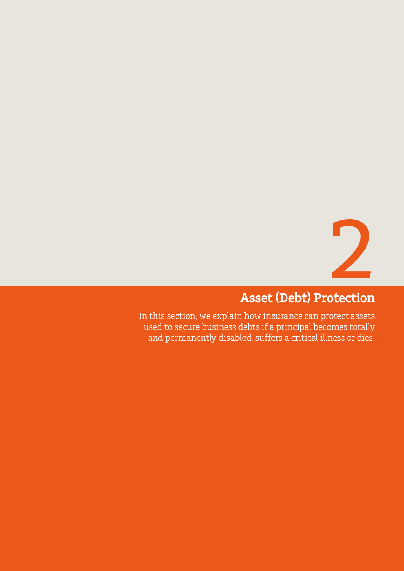![](_page_11_Picture_0.jpeg)

# **Asset (Debt) Protection**

<span id="page-11-0"></span>In this section, we explain how insurance can protect assets used to secure business debts if a principal becomes totally and permanently disabled, suffers a critical illness or dies.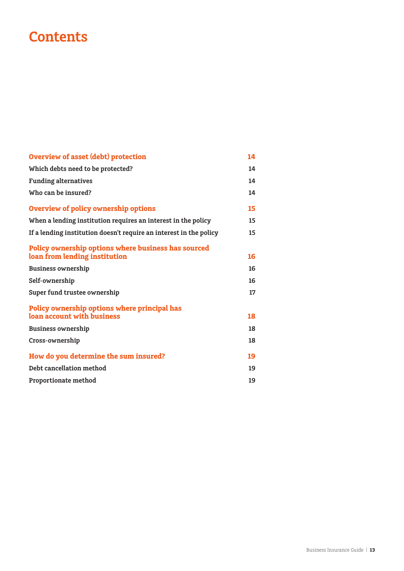# **Contents**

| <b>Overview of asset (debt) protection</b>                                           | 14 |
|--------------------------------------------------------------------------------------|----|
| Which debts need to be protected?                                                    | 14 |
| <b>Funding alternatives</b>                                                          | 14 |
| Who can be insured?                                                                  | 14 |
| <b>Overview of policy ownership options</b>                                          | 15 |
| When a lending institution requires an interest in the policy                        | 15 |
| If a lending institution doesn't require an interest in the policy                   | 15 |
| Policy ownership options where business has sourced<br>loan from lending institution | 16 |
| <b>Business ownership</b>                                                            | 16 |
| Self-ownership                                                                       | 16 |
| Super fund trustee ownership                                                         | 17 |
| Policy ownership options where principal has<br>loan account with business           | 18 |
| <b>Business ownership</b>                                                            | 18 |
| Cross-ownership                                                                      | 18 |
| How do you determine the sum insured?                                                | 19 |
| Debt cancellation method                                                             | 19 |
| Proportionate method                                                                 | 19 |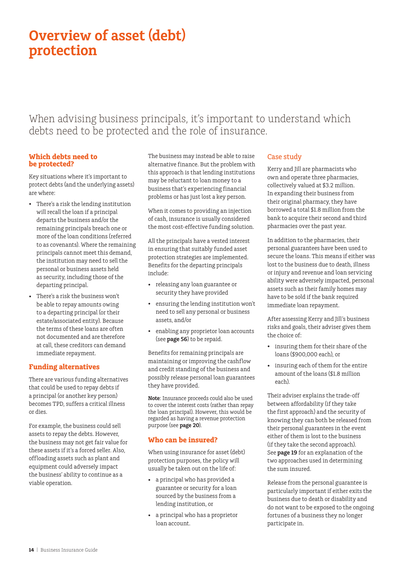# <span id="page-13-0"></span>**Overview of asset (debt) protection**

When advising business principals, it's important to understand which debts need to be protected and the role of insurance.

#### **Which debts need to be protected?**

Key situations where it's important to protect debts (and the underlying assets) are where:

- There's a risk the lending institution will recall the loan if a principal departs the business and/or the remaining principals breach one or more of the loan conditions (referred to as covenants). Where the remaining principals cannot meet this demand, the institution may need to sell the personal or business assets held as security, including those of the departing principal.
- There's a risk the business won't be able to repay amounts owing to a departing principal (or their estate/associated entity). Because the terms of these loans are often not documented and are therefore at call, these creditors can demand immediate repayment.

### **Funding alternatives**

There are various funding alternatives that could be used to repay debts if a principal (or another key person) becomes TPD, suffers a critical illness or dies.

For example, the business could sell assets to repay the debts. However, the business may not get fair value for these assets if it's a forced seller. Also, offloading assets such as plant and equipment could adversely impact the business' ability to continue as a viable operation.

The business may instead be able to raise alternative finance. But the problem with this approach is that lending institutions may be reluctant to loan money to a business that's experiencing financial problems or has just lost a key person.

When it comes to providing an injection of cash, insurance is usually considered the most cost-effective funding solution.

All the principals have a vested interest in ensuring that suitably funded asset protection strategies are implemented. Benefits for the departing principals include:

- releasing any loan guarantee or security they have provided
- ensuring the lending institution won't need to sell any personal or business assets, and/or
- enabling any proprietor loan accounts (see **page 56**) to be repaid.

Benefits for remaining principals are maintaining or improving the cashflow and credit standing of the business and possibly release personal loan guarantees they have provided.

**Note**: Insurance proceeds could also be used to cover the interest costs (rather than repay the loan principal). However, this would be regarded as having a revenue protection purpose (see **page 20**).

### **Who can be insured?**

When using insurance for asset (debt) protection purposes, the policy will usually be taken out on the life of:

- a principal who has provided a guarantee or security for a loan sourced by the business from a lending institution, or
- a principal who has a proprietor loan account.

### Case study

Kerry and Jill are pharmacists who own and operate three pharmacies, collectively valued at \$3.2 million. In expanding their business from their original pharmacy, they have borrowed a total \$1.8 million from the bank to acquire their second and third pharmacies over the past year.

In addition to the pharmacies, their personal guarantees have been used to secure the loans. This means if either was lost to the business due to death, illness or injury and revenue and loan servicing ability were adversely impacted, personal assets such as their family homes may have to be sold if the bank required immediate loan repayment.

After assessing Kerry and Jill's business risks and goals, their adviser gives them the choice of:

- insuring them for their share of the loans (\$900,000 each), or
- insuring each of them for the entire amount of the loans (\$1.8 million each).

Their adviser explains the trade-off between affordability (if they take the first approach) and the security of knowing they can both be released from their personal guarantees in the event either of them is lost to the business (if they take the second approach). See **page 19** for an explanation of the two approaches used in determining the sum insured.

Release from the personal guarantee is particularly important if either exits the business due to death or disability and do not want to be exposed to the ongoing fortunes of a business they no longer participate in.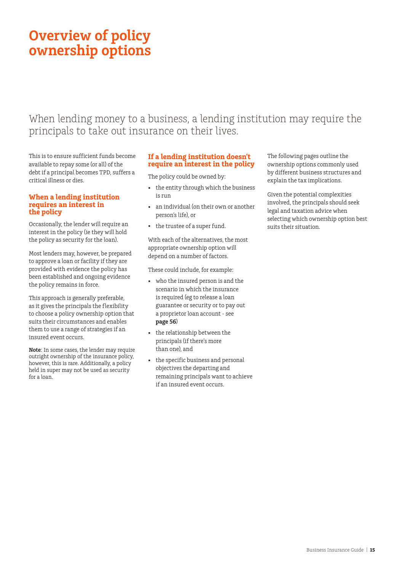# <span id="page-14-0"></span>**Overview of policy ownership options**

## When lending money to a business, a lending institution may require the principals to take out insurance on their lives.

This is to ensure sufficient funds become available to repay some (or all) of the debt if a principal becomes TPD, suffers a critical illness or dies.

#### **When a lending institution requires an interest in the policy**

Occasionally, the lender will require an interest in the policy (ie they will hold the policy as security for the loan).

Most lenders may, however, be prepared to approve a loan or facility if they are provided with evidence the policy has been established and ongoing evidence the policy remains in force.

This approach is generally preferable, as it gives the principals the flexibility to choose a policy ownership option that suits their circumstances and enables them to use a range of strategies if an insured event occurs.

**Note**: In some cases, the lender may require outright ownership of the insurance policy, however, this is rare. Additionally, a policy held in super may not be used as security for a loan.

#### **If a lending institution doesn't require an interest in the policy**

The policy could be owned by:

- the entity through which the business is run
- an individual (on their own or another person's life), or
- the trustee of a super fund.

With each of the alternatives, the most appropriate ownership option will depend on a number of factors.

These could include, for example:

- who the insured person is and the scenario in which the insurance is required (eg to release a loan guarantee or security or to pay out a proprietor loan account - see **page 56**)
- the relationship between the principals (if there's more than one), and
- the specific business and personal objectives the departing and remaining principals want to achieve if an insured event occurs.

The following pages outline the ownership options commonly used by different business structures and explain the tax implications.

Given the potential complexities involved, the principals should seek legal and taxation advice when selecting which ownership option best suits their situation.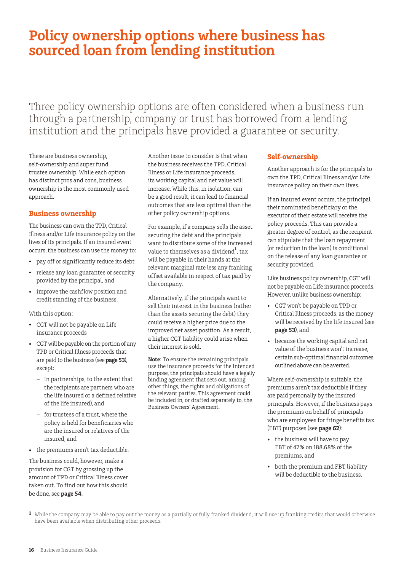# <span id="page-15-0"></span>**Policy ownership options where business has sourced loan from lending institution**

Three policy ownership options are often considered when a business run through a partnership, company or trust has borrowed from a lending institution and the principals have provided a guarantee or security.

These are business ownership, self-ownership and super fund trustee ownership. While each option has distinct pros and cons, business ownership is the most commonly used approach.

#### **Business ownership**

The business can own the TPD, Critical Illness and/or Life insurance policy on the lives of its principals. If an insured event occurs, the business can use the money to:

- pay off or significantly reduce its debt
- release any loan guarantee or security provided by the principal, and
- improve the cashflow position and credit standing of the business.

With this option:

- CGT will not be payable on Life insurance proceeds
- CGT will be payable on the portion of any TPD or Critical Illness proceeds that are paid to the business (see **page 53**), except:
	- in partnerships, to the extent that the recipients are partners who are the life insured or a defined relative of the life insured), and
	- for trustees of a trust, where the policy is held for beneficiaries who are the insured or relatives of the insured, and
- the premiums aren't tax deductible.

The business could, however, make a provision for CGT by grossing up the amount of TPD or Critical Illness cover taken out. To find out how this should be done, see **page 54**.

Another issue to consider is that when the business receives the TPD, Critical Illness or Life insurance proceeds, its working capital and net value will increase. While this, in isolation, can be a good result, it can lead to financial outcomes that are less optimal than the other policy ownership options.

For example, if a company sells the asset securing the debt and the principals want to distribute some of the increased value to themselves as a dividend**<sup>1</sup>** , tax will be payable in their hands at the relevant marginal rate less any franking offset available in respect of tax paid by the company.

Alternatively, if the principals want to sell their interest in the business (rather than the assets securing the debt) they could receive a higher price due to the improved net asset position. As a result, a higher CGT liability could arise when their interest is sold.

**Note**: To ensure the remaining principals use the insurance proceeds for the intended purpose, the principals should have a legally binding agreement that sets out, among other things, the rights and obligations of the relevant parties. This agreement could be included in, or drafted separately to, the Business Owners' Agreement.

#### **Self-ownership**

Another approach is for the principals to own the TPD, Critical Illness and/or Life insurance policy on their own lives.

If an insured event occurs, the principal, their nominated beneficiary or the executor of their estate will receive the policy proceeds. This can provide a greater degree of control, as the recipient can stipulate that the loan repayment (or reduction in the loan) is conditional on the release of any loan guarantee or security provided.

Like business policy ownership, CGT will not be payable on Life insurance proceeds. However, unlike business ownership:

- CGT won't be payable on TPD or Critical Illness proceeds, as the money will be received by the life insured (see **page 53)**, and
- because the working capital and net value of the business won't increase, certain sub-optimal financial outcomes outlined above can be averted.

Where self-ownership is suitable, the premiums aren't tax deductible if they are paid personally by the insured principals. However, if the business pays the premiums on behalf of principals who are employees for fringe benefits tax (FBT) purposes (see **page 62**):

- the business will have to pay FBT of 47% on 188.68% of the premiums, and
- both the premium and FBT liability will be deductible to the business.

**1** While the company may be able to pay out the money as a partially or fully franked dividend, it will use up franking credits that would otherwise have been available when distributing other proceeds.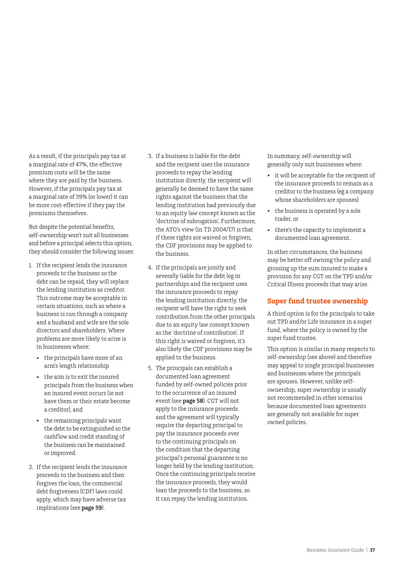<span id="page-16-0"></span>As a result, if the principals pay tax at a marginal rate of 47%, the effective premium costs will be the same where they are paid by the business. However, if the principals pay tax at a marginal rate of 39% (or lower) it can be more cost-effective if they pay the premiums themselves.

But despite the potential benefits, self-ownership won't suit all businesses and before a principal selects this option, they should consider the following issues:

- 1. If the recipient lends the insurance proceeds to the business so the debt can be repaid, they will replace the lending institution as creditor. This outcome may be acceptable in certain situations, such as where a business is run through a company and a husband and wife are the sole directors and shareholders. Where problems are more likely to arise is in businesses where:
	- the principals have more of an arm's length relationship
	- the aim is to exit the insured principals from the business when an insured event occurs (ie not have them or their estate become a creditor), and
	- the remaining principals want the debt to be extinguished so the cashflow and credit standing of the business can be maintained or improved.
- 2. If the recipient lends the insurance proceeds to the business and then forgives the loan, the commercial debt forgiveness (CDF) laws could apply, which may have adverse tax implications (see **page 59**).
- 3. If a business is liable for the debt and the recipient uses the insurance proceeds to repay the lending institution directly, the recipient will generally be deemed to have the same rights against the business that the lending institution had previously due to an equity law concept known as the 'doctrine of subrogation'. Furthermore, the ATO's view (in TD 2004/17) is that if these rights are waived or forgiven, the CDF provisions may be applied to the business.
- 4. If the principals are jointly and severally liable for the debt (eg in partnerships and the recipient uses the insurance proceeds to repay the lending institution directly, the recipient will have the right to seek contribution from the other principals due to an equity law concept known as the 'doctrine of contribution'. If this right is waived or forgiven, it's also likely the CDF provisions may be applied to the business.
- 5. The principals can establish a documented loan agreement funded by self-owned policies prior to the occurrence of an insured event (see **page 58**). CGT will not apply to the insurance proceeds and the agreement will typically require the departing principal to pay the insurance proceeds over to the continuing principals on the condition that the departing principal's personal guarantee is no longer held by the lending institution. Once the continuing principals receive the insurance proceeds, they would loan the proceeds to the business, so it can repay the lending institution.

In summary, self-ownership will generally only suit businesses where:

- it will be acceptable for the recipient of the insurance proceeds to remain as a creditor to the business (eg a company whose shareholders are spouses)
- the business is operated by a sole trader, or
- there's the capacity to implement a documented loan agreement.

In other circumstances, the business may be better off owning the policy and grossing up the sum insured to make a provision for any CGT on the TPD and/or Critical Illness proceeds that may arise.

### **Super fund trustee ownership**

A third option is for the principals to take out TPD and/or Life insurance in a super fund, where the policy is owned by the super fund trustee.

This option is similar in many respects to self-ownership (see above) and therefore may appeal to single principal businesses and businesses where the principals are spouses. However, unlike selfownership, super ownership is usually not recommended in other scenarios because documented loan agreements are generally not available for super owned policies.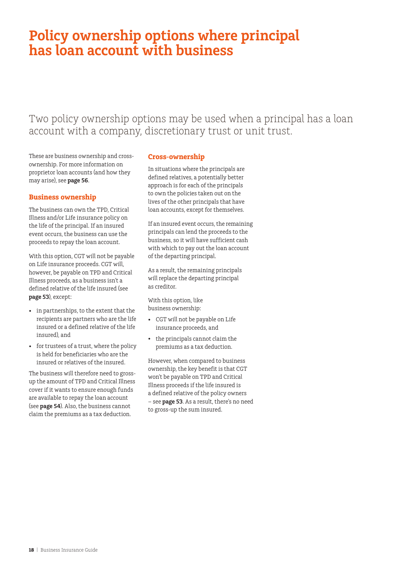# <span id="page-17-0"></span>**Policy ownership options where principal has loan account with business**

### Two policy ownership options may be used when a principal has a loan account with a company, discretionary trust or unit trust.

These are business ownership and crossownership. For more information on proprietor loan accounts (and how they may arise), see **page 56**.

#### **Business ownership**

The business can own the TPD, Critical Illness and/or Life insurance policy on the life of the principal. If an insured event occurs, the business can use the proceeds to repay the loan account.

With this option, CGT will not be payable on Life insurance proceeds. CGT will, however, be payable on TPD and Critical Illness proceeds, as a business isn't a defined relative of the life insured (see **page 53**), except:

- in partnerships, to the extent that the recipients are partners who are the life insured or a defined relative of the life insured), and
- for trustees of a trust, where the policy is held for beneficiaries who are the insured or relatives of the insured.

The business will therefore need to grossup the amount of TPD and Critical Illness cover if it wants to ensure enough funds are available to repay the loan account (see **page 54**). Also, the business cannot claim the premiums as a tax deduction.

### **Cross-ownership**

In situations where the principals are defined relatives, a potentially better approach is for each of the principals to own the policies taken out on the lives of the other principals that have loan accounts, except for themselves.

If an insured event occurs, the remaining principals can lend the proceeds to the business, so it will have sufficient cash with which to pay out the loan account of the departing principal.

As a result, the remaining principals will replace the departing principal as creditor.

With this option, like business ownership:

- CGT will not be payable on Life insurance proceeds, and
- the principals cannot claim the premiums as a tax deduction.

However, when compared to business ownership, the key benefit is that CGT won't be payable on TPD and Critical Illness proceeds if the life insured is a defined relative of the policy owners – see **page 53**. As a result, there's no need to gross-up the sum insured.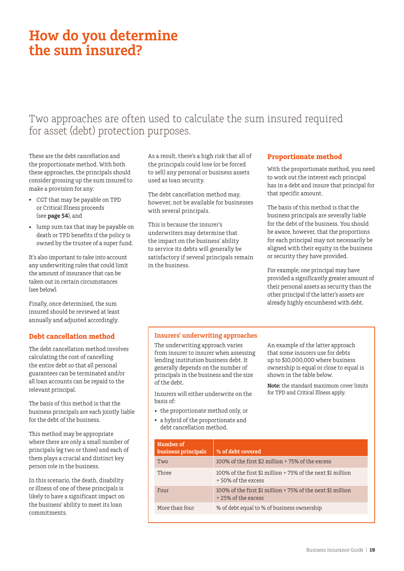# <span id="page-18-0"></span>**How do you determine the sum insured?**

## Two approaches are often used to calculate the sum insured required for asset (debt) protection purposes.

These are the debt cancellation and the proportionate method. With both these approaches, the principals should consider grossing up the sum insured to make a provision for any:

- CGT that may be payable on TPD or Critical Illness proceeds (see **page 54**), and
- lump sum tax that may be payable on death or TPD benefits if the policy is owned by the trustee of a super fund.

It's also important to take into account any underwriting rules that could limit the amount of insurance that can be taken out in certain circumstances (see below).

Finally, once determined, the sum insured should be reviewed at least annually and adjusted accordingly.

### **Debt cancellation method**

The debt cancellation method involves calculating the cost of cancelling the entire debt so that all personal guarantees can be terminated and/or all loan accounts can be repaid to the relevant principal.

The basis of this method is that the business principals are each jointly liable for the debt of the business.

This method may be appropriate where there are only a small number of principals (eg two or three) and each of them plays a crucial and distinct key person role in the business.

In this scenario, the death, disability or illness of one of these principals is likely to have a significant impact on the business' ability to meet its loan commitments.

As a result, there's a high risk that all of the principals could lose (or be forced to sell) any personal or business assets used as loan security.

The debt cancellation method may, however, not be available for businesses with several principals.

This is because the insurer's underwriters may determine that the impact on the business' ability to service its debts will generally be satisfactory if several principals remain in the business.

### **Proportionate method**

With the proportionate method, you need to work out the interest each principal has in a debt and insure that principal for that specific amount.

The basis of this method is that the business principals are severally liable for the debt of the business. You should be aware, however, that the proportions for each principal may not necessarily be aligned with their equity in the business or security they have provided.

For example, one principal may have provided a significantly greater amount of their personal assets as security than the other principal if the latter's assets are already highly encumbered with debt.

#### **Insurers' underwriting approaches**

The underwriting approach varies from insurer to insurer when assessing lending institution business debt. It generally depends on the number of principals in the business and the size of the debt.

Insurers will either underwrite on the basis of:

- the proportionate method only, or
- a hybrid of the proportionate and debt cancellation method.

An example of the latter approach that some insurers use for debts up to \$10,000,000 where business ownership is equal or close to equal is shown in the table below.

**Note:** the standard maximum cover limits for TPD and Critical Illness apply.

| Number of<br>business principals | % of debt covered                                                                 |
|----------------------------------|-----------------------------------------------------------------------------------|
| Two                              | 100% of the first \$2 million + 75% of the excess                                 |
| Three                            | 100% of the first \$1 million + 75% of the next \$1 million<br>+50% of the excess |
| Four                             | 100% of the first \$1 million + 75% of the next \$1 million<br>+25% of the excess |
| More than four                   | % of debt equal to % of business ownership                                        |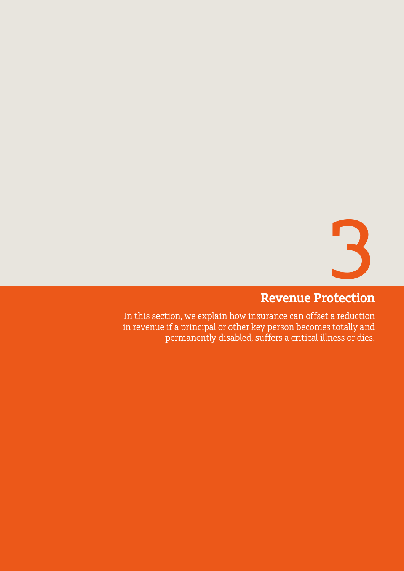![](_page_19_Picture_0.jpeg)

# **Revenue Protection**

<span id="page-19-0"></span>In this section, we explain how insurance can offset a reduction in revenue if a principal or other key person becomes totally and permanently disabled, suffers a critical illness or dies.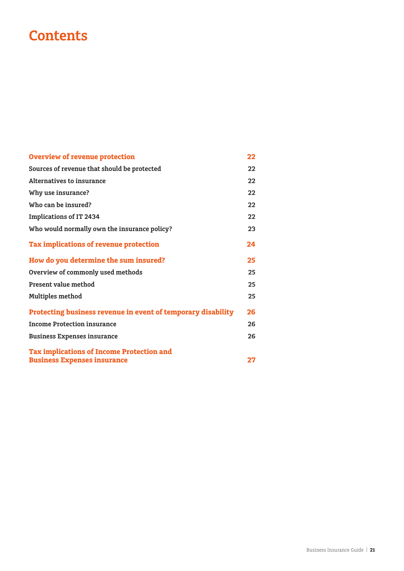# **Contents**

| <b>Overview of revenue protection</b>                        | 22 |
|--------------------------------------------------------------|----|
| Sources of revenue that should be protected                  | 22 |
| <b>Alternatives to insurance</b>                             | 22 |
| Why use insurance?                                           | 22 |
| Who can be insured?                                          | 22 |
| <b>Implications of IT 2434</b>                               | 22 |
| Who would normally own the insurance policy?                 | 23 |
| Tax implications of revenue protection                       | 24 |
| How do you determine the sum insured?                        | 25 |
| Overview of commonly used methods                            | 25 |
| <b>Present value method</b>                                  | 25 |
| Multiples method                                             | 25 |
| Protecting business revenue in event of temporary disability | 26 |
| <b>Income Protection insurance</b>                           | 26 |
| <b>Business Expenses insurance</b>                           | 26 |
| <b>Tax implications of Income Protection and</b>             |    |
| <b>Business Expenses insurance</b>                           | 27 |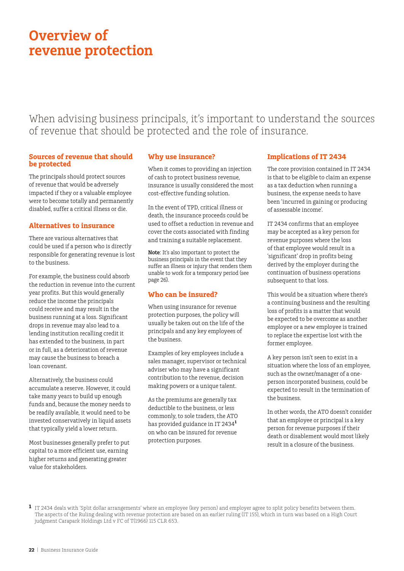# <span id="page-21-0"></span>**Overview of revenue protection**

When advising business principals, it's important to understand the sources of revenue that should be protected and the role of insurance.

#### **Sources of revenue that should be protected**

The principals should protect sources of revenue that would be adversely impacted if they or a valuable employee were to become totally and permanently disabled, suffer a critical illness or die.

### **Alternatives to insurance**

There are various alternatives that could be used if a person who is directly responsible for generating revenue is lost to the business.

For example, the business could absorb the reduction in revenue into the current year profits. But this would generally reduce the income the principals could receive and may result in the business running at a loss. Significant drops in revenue may also lead to a lending institution recalling credit it has extended to the business, in part or in full, as a deterioration of revenue may cause the business to breach a loan covenant.

Alternatively, the business could accumulate a reserve. However, it could take many years to build up enough funds and, because the money needs to be readily available, it would need to be invested conservatively in liquid assets that typically yield a lower return.

Most businesses generally prefer to put capital to a more efficient use, earning higher returns and generating greater value for stakeholders.

### **Why use insurance?**

When it comes to providing an injection of cash to protect business revenue, insurance is usually considered the most cost-effective funding solution.

In the event of TPD, critical illness or death, the insurance proceeds could be used to offset a reduction in revenue and cover the costs associated with finding and training a suitable replacement.

**Note**: It's also important to protect the business principals in the event that they suffer an illness or injury that renders them unable to work for a temporary period (see page 26).

### **Who can be insured?**

When using insurance for revenue protection purposes, the policy will usually be taken out on the life of the principals and any key employees of the business.

Examples of key employees include a sales manager, supervisor or technical adviser who may have a significant contribution to the revenue, decision making powers or a unique talent.

As the premiums are generally tax deductible to the business, or less commonly, to sole traders, the ATO has provided guidance in IT 2434**<sup>1</sup>** on who can be insured for revenue protection purposes.

### **Implications of IT 2434**

The core provision contained in IT 2434 is that to be eligible to claim an expense as a tax deduction when running a business, the expense needs to have been 'incurred in gaining or producing of assessable income'.

IT 2434 confirms that an employee may be accepted as a key person for revenue purposes where the loss of that employee would result in a 'significant' drop in profits being derived by the employer during the continuation of business operations subsequent to that loss.

This would be a situation where there's a continuing business and the resulting loss of profits is a matter that would be expected to be overcome as another employee or a new employee is trained to replace the expertise lost with the former employee.

A key person isn't seen to exist in a situation where the loss of an employee, such as the owner/manager of a oneperson incorporated business, could be expected to result in the termination of the business.

In other words, the ATO doesn't consider that an employee or principal is a key person for revenue purposes if their death or disablement would most likely result in a closure of the business.

**1** IT 2434 deals with 'Split dollar arrangements' where an employee (key person) and employer agree to split policy benefits between them. The aspects of the Ruling dealing with revenue protection are based on an earlier ruling (IT 155), which in turn was based on a High Court judgment Carapark Holdings Ltd v FC of T(1966) 115 CLR 653.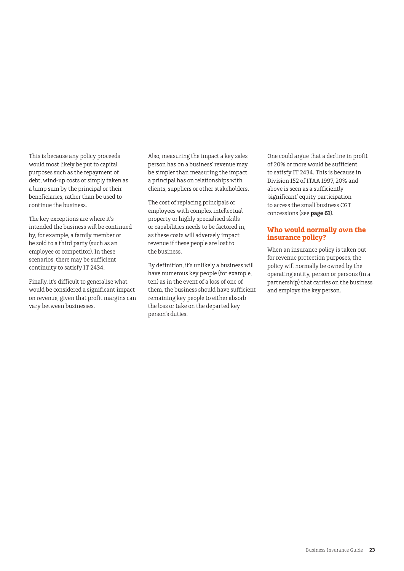<span id="page-22-0"></span>This is because any policy proceeds would most likely be put to capital purposes such as the repayment of debt, wind-up costs or simply taken as a lump sum by the principal or their beneficiaries, rather than be used to continue the business.

The key exceptions are where it's intended the business will be continued by, for example, a family member or be sold to a third party (such as an employee or competitor). In these scenarios, there may be sufficient continuity to satisfy IT 2434.

Finally, it's difficult to generalise what would be considered a significant impact on revenue, given that profit margins can vary between businesses.

Also, measuring the impact a key sales person has on a business' revenue may be simpler than measuring the impact a principal has on relationships with clients, suppliers or other stakeholders.

The cost of replacing principals or employees with complex intellectual property or highly specialised skills or capabilities needs to be factored in, as these costs will adversely impact revenue if these people are lost to the business.

By definition, it's unlikely a business will have numerous key people (for example, ten) as in the event of a loss of one of them, the business should have sufficient remaining key people to either absorb the loss or take on the departed key person's duties.

One could argue that a decline in profit of 20% or more would be sufficient to satisfy IT 2434. This is because in Division 152 of ITAA 1997, 20% and above is seen as a sufficiently 'significant' equity participation to access the small business CGT concessions (see **page 61**).

### **Who would normally own the insurance policy?**

When an insurance policy is taken out for revenue protection purposes, the policy will normally be owned by the operating entity, person or persons (in a partnership) that carries on the business and employs the key person.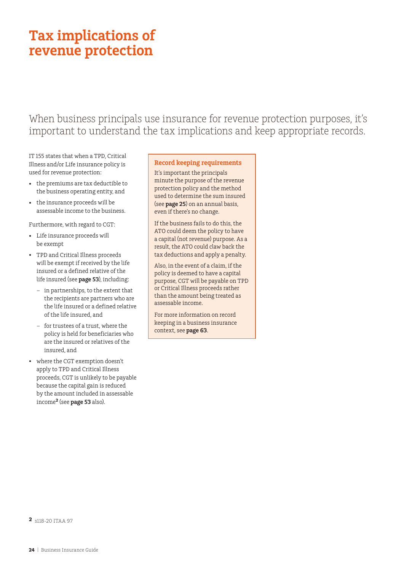# <span id="page-23-0"></span>**Tax implications of revenue protection**

When business principals use insurance for revenue protection purposes, it's important to understand the tax implications and keep appropriate records.

IT 155 states that when a TPD, Critical Illness and/or Life insurance policy is used for revenue protection:

- the premiums are tax deductible to the business operating entity, and
- the insurance proceeds will be assessable income to the business.

Furthermore, with regard to CGT:

- Life insurance proceeds will be exempt
- TPD and Critical Illness proceeds will be exempt if received by the life insured or a defined relative of the life insured (see **page 53**), including:
	- in partnerships, to the extent that the recipients are partners who are the life insured or a defined relative of the life insured, and
	- for trustees of a trust, where the policy is held for beneficiaries who are the insured or relatives of the insured, and
- where the CGT exemption doesn't apply to TPD and Critical Illness proceeds, CGT is unlikely to be payable because the capital gain is reduced by the amount included in assessable income**<sup>2</sup>** (see **page 53** also).

#### **Record keeping requirements**

It's important the principals minute the purpose of the revenue protection policy and the method used to determine the sum insured (see **page 25**) on an annual basis, even if there's no change.

If the business fails to do this, the ATO could deem the policy to have a capital (not revenue) purpose. As a result, the ATO could claw back the tax deductions and apply a penalty.

Also, in the event of a claim, if the policy is deemed to have a capital purpose, CGT will be payable on TPD or Critical Illness proceeds rather than the amount being treated as assessable income.

For more information on record keeping in a business insurance context, see **page 63**.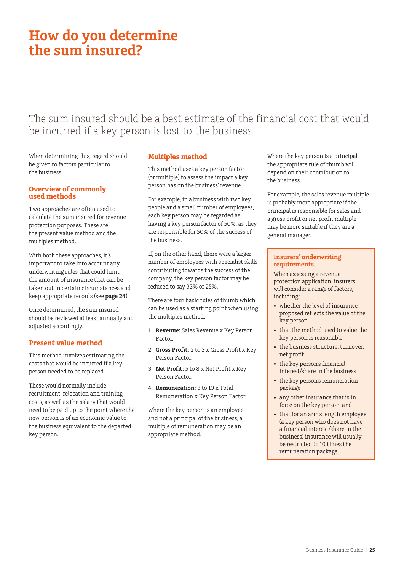# <span id="page-24-0"></span>**How do you determine the sum insured?**

## The sum insured should be a best estimate of the financial cost that would be incurred if a key person is lost to the business.

When determining this, regard should be given to factors particular to the business.

#### **Overview of commonly used methods**

Two approaches are often used to calculate the sum insured for revenue protection purposes. These are the present value method and the multiples method.

With both these approaches, it's important to take into account any underwriting rules that could limit the amount of insurance that can be taken out in certain circumstances and keep appropriate records (see **page 24**).

Once determined, the sum insured should be reviewed at least annually and adjusted accordingly.

### **Present value method**

This method involves estimating the costs that would be incurred if a key person needed to be replaced.

These would normally include recruitment, relocation and training costs, as well as the salary that would need to be paid up to the point where the new person is of an economic value to the business equivalent to the departed key person.

### **Multiples method**

This method uses a key person factor (or multiple) to assess the impact a key person has on the business' revenue.

For example, in a business with two key people and a small number of employees, each key person may be regarded as having a key person factor of 50%, as they are responsible for 50% of the success of the business.

If, on the other hand, there were a larger number of employees with specialist skills contributing towards the success of the company, the key person factor may be reduced to say 33% or 25%.

There are four basic rules of thumb which can be used as a starting point when using the multiples method.

- 1. **Revenue:** Sales Revenue x Key Person Factor.
- 2. **Gross Profit:** 2 to 3 x Gross Profit x Key Person Factor.
- 3. **Net Profit:** 5 to 8 x Net Profit x Key Person Factor.
- 4. **Remuneration:** 3 to 10 x Total Remuneration x Key Person Factor.

Where the key person is an employee and not a principal of the business, a multiple of remuneration may be an appropriate method.

Where the key person is a principal, the appropriate rule of thumb will depend on their contribution to the business.

For example, the sales revenue multiple is probably more appropriate if the principal is responsible for sales and a gross profit or net profit multiple may be more suitable if they are a general manager.

#### **Insurers' underwriting requirements**

When assessing a revenue protection application, insurers will consider a range of factors, including:

- whether the level of insurance proposed reflects the value of the key person
- that the method used to value the key person is reasonable
- the business structure, turnover, net profit
- the key person's financial interest/share in the business
- the key person's remuneration package
- any other insurance that is in force on the key person, and
- that for an arm's length employee (a key person who does not have a financial interest/share in the business) insurance will usually be restricted to 10 times the remuneration package.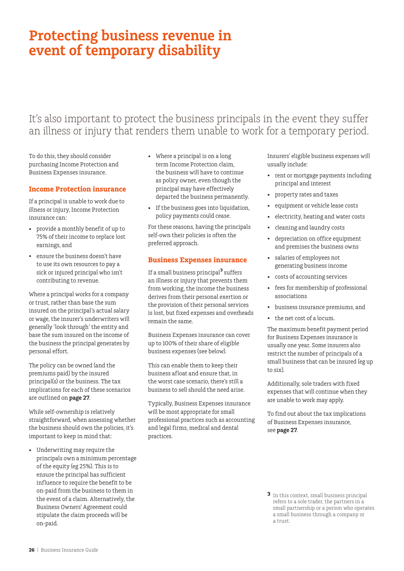# <span id="page-25-0"></span>**Protecting business revenue in event of temporary disability**

## It's also important to protect the business principals in the event they suffer an illness or injury that renders them unable to work for a temporary period.

To do this, they should consider purchasing Income Protection and Business Expenses insurance.

#### **Income Protection insurance**

If a principal is unable to work due to illness or injury, Income Protection insurance can:

- provide a monthly benefit of up to 75% of their income to replace lost earnings, and
- ensure the business doesn't have to use its own resources to pay a sick or injured principal who isn't contributing to revenue.

Where a principal works for a company or trust, rather than base the sum insured on the principal's actual salary or wage, the insurer's underwriters will generally 'look through' the entity and base the sum insured on the income of the business the principal generates by personal effort.

The policy can be owned (and the premiums paid) by the insured principal(s) or the business. The tax implications for each of these scenarios are outlined on **page 27**.

While self-ownership is relatively straightforward, when assessing whether the business should own the policies, it's important to keep in mind that:

• Underwriting may require the principals own a minimum percentage of the equity (eg 25%). This is to ensure the principal has sufficient influence to require the benefit to be on-paid from the business to them in the event of a claim. Alternatively, the Business Owners' Agreement could stipulate the claim proceeds will be on-paid.

- Where a principal is on a long term Income Protection claim, the business will have to continue as policy owner, even though the principal may have effectively departed the business permanently.
- If the business goes into liquidation, policy payments could cease.

For these reasons, having the principals self-own their policies is often the preferred approach.

### **Business Expenses insurance**

If a small business principal**<sup>3</sup>** suffers an illness or injury that prevents them from working, the income the business derives from their personal exertion or the provision of their personal services is lost, but fixed expenses and overheads remain the same.

Business Expenses insurance can cover up to 100% of their share of eligible business expenses (see below).

This can enable them to keep their business afloat and ensure that, in the worst case scenario, there's still a business to sell should the need arise.

Typically, Business Expenses insurance will be most appropriate for small professional practices such as accounting and legal firms, medical and dental practices.

Insurers' eligible business expenses will usually include:

- rent or mortgage payments including principal and interest
- property rates and taxes
- equipment or vehicle lease costs
- electricity, heating and water costs
- cleaning and laundry costs
- depreciation on office equipment and premises the business owns
- salaries of employees not generating business income
- costs of accounting services
- fees for membership of professional associations
- business insurance premiums, and
- the net cost of a locum.

The maximum benefit payment period for Business Expenses insurance is usually one year. Some insurers also restrict the number of principals of a small business that can be insured (eg up to six).

Additionally, sole traders with fixed expenses that will continue when they are unable to work may apply.

To find out about the tax implications of Business Expenses insurance, see **page 27**.

**<sup>3</sup>** In this context, small business principal refers to a sole trader, the partners in a small partnership or a person who operates a small business through a company or a trust.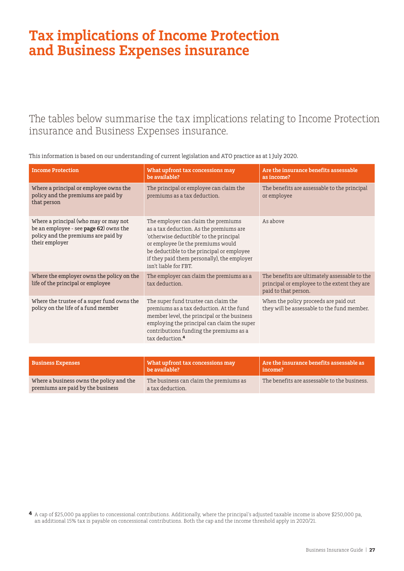# <span id="page-26-0"></span>**Tax implications of Income Protection and Business Expenses insurance**

The tables below summarise the tax implications relating to Income Protection insurance and Business Expenses insurance.

| <b>Income Protection</b>                                                                                                                 | What upfront tax concessions may<br>be available?                                                                                                                                                                                                                                     | Are the insurance benefits assessable<br>as income?                                                                   |
|------------------------------------------------------------------------------------------------------------------------------------------|---------------------------------------------------------------------------------------------------------------------------------------------------------------------------------------------------------------------------------------------------------------------------------------|-----------------------------------------------------------------------------------------------------------------------|
| Where a principal or employee owns the<br>policy and the premiums are paid by<br>that person                                             | The principal or employee can claim the<br>premiums as a tax deduction.                                                                                                                                                                                                               | The benefits are assessable to the principal<br>or employee                                                           |
| Where a principal (who may or may not<br>be an employee - see page 62) owns the<br>policy and the premiums are paid by<br>their employer | The employer can claim the premiums<br>as a tax deduction. As the premiums are<br>'otherwise deductible' to the principal<br>or employee (ie the premiums would<br>be deductible to the principal or employee<br>if they paid them personally), the employer<br>isn't liable for FBT. | As above                                                                                                              |
| Where the employer owns the policy on the<br>life of the principal or employee                                                           | The employer can claim the premiums as a<br>tax deduction.                                                                                                                                                                                                                            | The benefits are ultimately assessable to the<br>principal or employee to the extent they are<br>paid to that person. |
| Where the trustee of a super fund owns the<br>policy on the life of a fund member                                                        | The super fund trustee can claim the<br>premiums as a tax deduction. At the fund<br>member level, the principal or the business<br>employing the principal can claim the super<br>contributions funding the premiums as a<br>tax deduction. <sup>4</sup>                              | When the policy proceeds are paid out<br>they will be assessable to the fund member.                                  |
|                                                                                                                                          |                                                                                                                                                                                                                                                                                       |                                                                                                                       |
| <b>Business Expenses</b>                                                                                                                 | What upfront tax concessions may<br>be available?                                                                                                                                                                                                                                     | Are the insurance benefits assessable as<br>income?                                                                   |
| Where a business owns the policy and the                                                                                                 | The business can claim the premiums as                                                                                                                                                                                                                                                | The benefits are assessable to the business.                                                                          |

This information is based on our understanding of current legislation and ATO practice as at 1 July 2020.

a tax deduction.

premiums are paid by the business

**4** A cap of \$25,000 pa applies to concessional contributions. Additionally, where the principal's adjusted taxable income is above \$250,000 pa, an additional 15% tax is payable on concessional contributions. Both the cap and the income threshold apply in 2020/21.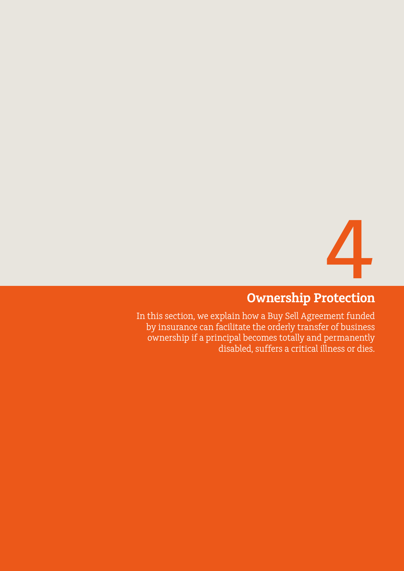![](_page_27_Picture_0.jpeg)

# **Ownership Protection**

<span id="page-27-0"></span>In this section, we explain how a Buy Sell Agreement funded by insurance can facilitate the orderly transfer of business ownership if a principal becomes totally and permanently disabled, suffers a critical illness or dies.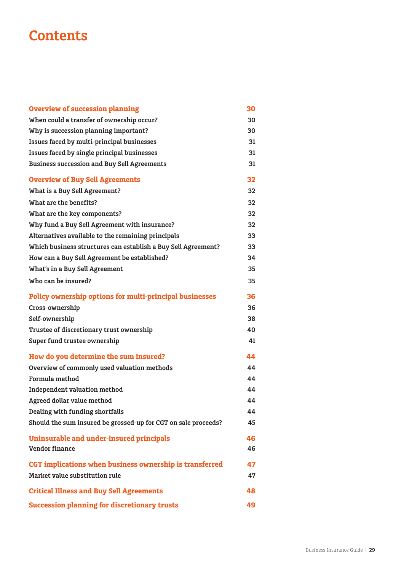# **Contents**

| <b>Overview of succession planning</b>                         | 30 |
|----------------------------------------------------------------|----|
| When could a transfer of ownership occur?                      | 30 |
| Why is succession planning important?                          | 30 |
| Issues faced by multi-principal businesses                     | 31 |
| Issues faced by single principal businesses                    | 31 |
| <b>Business succession and Buy Sell Agreements</b>             | 31 |
| <b>Overview of Buy Sell Agreements</b>                         | 32 |
| <b>What is a Buy Sell Agreement?</b>                           | 32 |
| What are the benefits?                                         | 32 |
| What are the key components?                                   | 32 |
| Why fund a Buy Sell Agreement with insurance?                  | 32 |
| Alternatives available to the remaining principals             | 33 |
| Which business structures can establish a Buy Sell Agreement?  | 33 |
| How can a Buy Sell Agreement be established?                   | 34 |
| What's in a Buy Sell Agreement                                 | 35 |
| Who can be insured?                                            | 35 |
| Policy ownership options for multi-principal businesses        | 36 |
| Cross-ownership                                                | 36 |
| Self-ownership                                                 | 38 |
| Trustee of discretionary trust ownership                       | 40 |
| Super fund trustee ownership                                   | 41 |
| How do you determine the sum insured?                          | 44 |
| Overview of commonly used valuation methods                    | 44 |
| Formula method                                                 | 44 |
| <b>Independent valuation method</b>                            | 44 |
| Agreed dollar value method                                     | 44 |
| <b>Dealing with funding shortfalls</b>                         | 44 |
| Should the sum insured be grossed-up for CGT on sale proceeds? | 45 |
| <b>Uninsurable and under-insured principals</b>                | 46 |
| <b>Vendor finance</b>                                          | 46 |
| CGT implications when business ownership is transferred        | 47 |
| Market value substitution rule                                 | 47 |
| <b>Critical Illness and Buy Sell Agreements</b>                | 48 |
| <b>Succession planning for discretionary trusts</b>            | 49 |
|                                                                |    |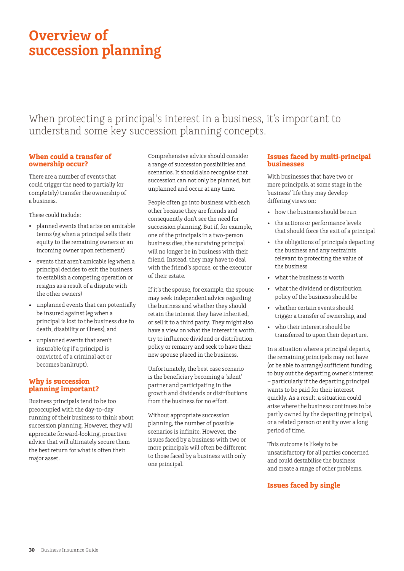# <span id="page-29-0"></span>**Overview of succession planning**

## When protecting a principal's interest in a business, it's important to understand some key succession planning concepts.

#### **When could a transfer of ownership occur?**

There are a number of events that could trigger the need to partially (or completely) transfer the ownership of a business.

These could include:

- planned events that arise on amicable terms (eg when a principal sells their equity to the remaining owners or an incoming owner upon retirement)
- events that aren't amicable (eg when a principal decides to exit the business to establish a competing operation or resigns as a result of a dispute with the other owners)
- unplanned events that can potentially be insured against (eg when a principal is lost to the business due to death, disability or illness), and
- unplanned events that aren't insurable (eg if a principal is convicted of a criminal act or becomes bankrupt).

### **Why is succession planning important?**

Business principals tend to be too preoccupied with the day-to-day running of their business to think about succession planning. However, they will appreciate forward-looking, proactive advice that will ultimately secure them the best return for what is often their major asset.

Comprehensive advice should consider a range of succession possibilities and scenarios. It should also recognise that succession can not only be planned, but unplanned and occur at any time.

People often go into business with each other because they are friends and consequently don't see the need for succession planning. But if, for example, one of the principals in a two-person business dies, the surviving principal will no longer be in business with their friend. Instead, they may have to deal with the friend's spouse, or the executor of their estate.

If it's the spouse, for example, the spouse may seek independent advice regarding the business and whether they should retain the interest they have inherited, or sell it to a third party. They might also have a view on what the interest is worth, try to influence dividend or distribution policy or remarry and seek to have their new spouse placed in the business.

Unfortunately, the best case scenario is the beneficiary becoming a 'silent' partner and participating in the growth and dividends or distributions from the business for no effort.

Without appropriate succession planning, the number of possible scenarios is infinite. However, the issues faced by a business with two or more principals will often be different to those faced by a business with only one principal.

### **Issues faced by multi-principal businesses**

With businesses that have two or more principals, at some stage in the business' life they may develop differing views on:

- how the business should be run
- the actions or performance levels that should force the exit of a principal
- the obligations of principals departing the business and any restraints relevant to protecting the value of the business
- what the business is worth
- what the dividend or distribution policy of the business should be
- whether certain events should trigger a transfer of ownership, and
- who their interests should be transferred to upon their departure.

In a situation where a principal departs, the remaining principals may not have (or be able to arrange) sufficient funding to buy out the departing owner's interest – particularly if the departing principal wants to be paid for their interest quickly. As a result, a situation could arise where the business continues to be partly owned by the departing principal, or a related person or entity over a long period of time.

This outcome is likely to be unsatisfactory for all parties concerned and could destabilise the business and create a range of other problems.

### **Issues faced by single**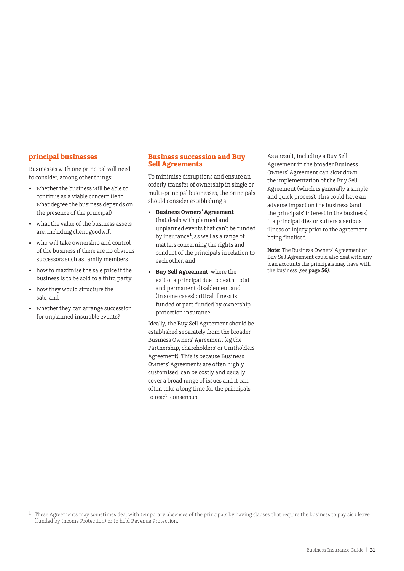#### <span id="page-30-0"></span>**principal businesses**

Businesses with one principal will need to consider, among other things:

- whether the business will be able to continue as a viable concern (ie to what degree the business depends on the presence of the principal)
- what the value of the business assets are, including client goodwill
- who will take ownership and control of the business if there are no obvious successors such as family members
- how to maximise the sale price if the business is to be sold to a third party
- how they would structure the sale, and
- whether they can arrange succession for unplanned insurable events?

#### **Business succession and Buy Sell Agreements**

To minimise disruptions and ensure an orderly transfer of ownership in single or multi-principal businesses, the principals should consider establishing a:

- **Business Owners' Agreement** that deals with planned and unplanned events that can't be funded by insurance**<sup>1</sup>** , as well as a range of matters concerning the rights and conduct of the principals in relation to each other, and
- **Buy Sell Agreement**, where the exit of a principal due to death, total and permanent disablement and (in some cases) critical illness is funded or part-funded by ownership protection insurance.

Ideally, the Buy Sell Agreement should be established separately from the broader Business Owners' Agreement (eg the Partnership, Shareholders' or Unitholders' Agreement). This is because Business Owners' Agreements are often highly customised, can be costly and usually cover a broad range of issues and it can often take a long time for the principals to reach consensus.

As a result, including a Buy Sell Agreement in the broader Business Owners' Agreement can slow down the implementation of the Buy Sell Agreement (which is generally a simple and quick process). This could have an adverse impact on the business (and the principals' interest in the business) if a principal dies or suffers a serious illness or injury prior to the agreement being finalised.

**Note**: The Business Owners' Agreement or Buy Sell Agreement could also deal with any loan accounts the principals may have with the business (see **page 56**).

**1** These Agreements may sometimes deal with temporary absences of the principals by having clauses that require the business to pay sick leave (funded by Income Protection) or to hold Revenue Protection.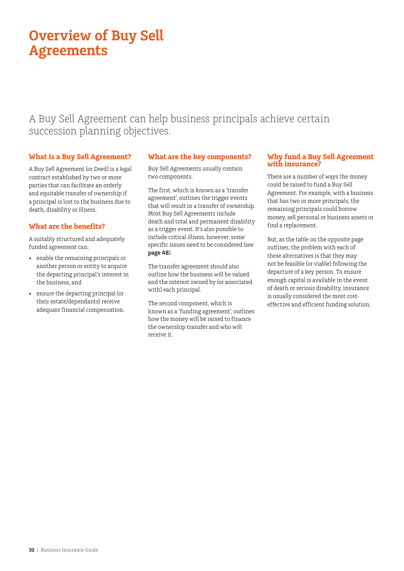# <span id="page-31-0"></span>**Overview of Buy Sell Agreements**

## A Buy Sell Agreement can help business principals achieve certain succession planning objectives.

### **What is a Buy Sell Agreement?**

A Buy Sell Agreement (or Deed) is a legal contract established by two or more parties that can facilitate an orderly and equitable transfer of ownership if a principal is lost to the business due to death, disability or illness.

### **What are the benefits?**

A suitably structured and adequately funded agreement can:

- enable the remaining principals or another person or entity to acquire the departing principal's interest in the business, and
- ensure the departing principal (or their estate/dependants) receive adequate financial compensation.

### **What are the key components?**

Buy Sell Agreements usually contain two components.

The first, which is known as a 'transfer agreement', outlines the trigger events that will result in a transfer of ownership. Most Buy Sell Agreements include death and total and permanent disability as a trigger event. It's also possible to include critical illness, however, some specific issues need to be considered (see **page 48**).

The transfer agreement should also outline how the business will be valued and the interest owned by (or associated with) each principal.

The second component, which is known as a 'funding agreement', outlines how the money will be raised to finance the ownership transfer and who will receive it.

#### **Why fund a Buy Sell Agreement with insurance?**

There are a number of ways the money could be raised to fund a Buy Sell Agreement. For example, with a business that has two or more principals, the remaining principals could borrow money, sell personal or business assets or find a replacement.

But, as the table on the opposite page outlines, the problem with each of these alternatives is that they may not be feasible (or viable) following the departure of a key person. To ensure enough capital is available in the event of death or serious disability, insurance is usually considered the most costeffective and efficient funding solution.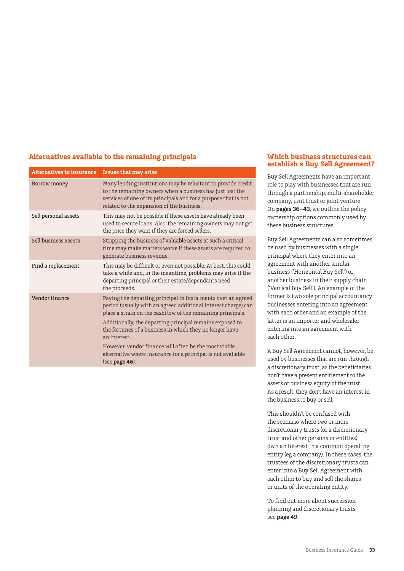### <span id="page-32-0"></span>**Alternatives available to the remaining principals**

| <b>Alternatives to insurance</b> | <b>Issues that may arise</b>                                                                                                                                                                                                              |
|----------------------------------|-------------------------------------------------------------------------------------------------------------------------------------------------------------------------------------------------------------------------------------------|
| Borrow money                     | Many lending institutions may be reluctant to provide credit<br>to the remaining owners when a business has just lost the<br>services of one of its principals and for a purpose that is not<br>related to the expansion of the business. |
| Sell personal assets             | This may not be possible if these assets have already been<br>used to secure loans. Also, the remaining owners may not get<br>the price they want if they are forced sellers.                                                             |
| Sell business assets             | Stripping the business of valuable assets at such a critical<br>time may make matters worse if these assets are required to<br>generate business revenue.                                                                                 |
| Find a replacement               | This may be difficult or even not possible. At best, this could<br>take a while and, in the meantime, problems may arise if the<br>departing principal or their estate/dependants need<br>the proceeds.                                   |
| Vendor finance                   | Paying the departing principal in instalments over an agreed<br>period (usually with an agreed additional interest charge) can<br>place a strain on the cashflow of the remaining principals.                                             |
|                                  | Additionally, the departing principal remains exposed to<br>the fortunes of a business in which they no longer have<br>an interest.                                                                                                       |
|                                  | However, vendor finance will often be the most viable<br>alternative where insurance for a principal is not available<br>(see page 46).                                                                                                   |

#### **Which business structures can establish a Buy Sell Agreement?**

Buy Sell Agreements have an important role to play with businesses that are run through a partnership, multi-shareholder company, unit trust or joint venture. On **pages 36–43**, we outline the policy ownership options commonly used by these business structures.

Buy Sell Agreements can also sometimes be used by businesses with a single principal where they enter into an agreement with another similar business ('Horizontal Buy Sell') or another business in their supply chain ('Vertical Buy Sell'). An example of the former is two sole principal accountancy businesses entering into an agreement with each other and an example of the latter is an importer and wholesaler entering into an agreement with each other.

A Buy Sell Agreement cannot, however, be used by businesses that are run through a discretionary trust, as the beneficiaries don't have a present entitlement to the assets or business equity of the trust. As a result, they don't have an interest in the business to buy or sell.

This shouldn't be confused with the scenario where two or more discretionary trusts (or a discretionary trust and other persons or entities) own an interest in a common operating entity (eg a company). In these cases, the trustees of the discretionary trusts can enter into a Buy Sell Agreement with each other to buy and sell the shares or units of the operating entity.

To find out more about succession planning and discretionary trusts, see **page 49**.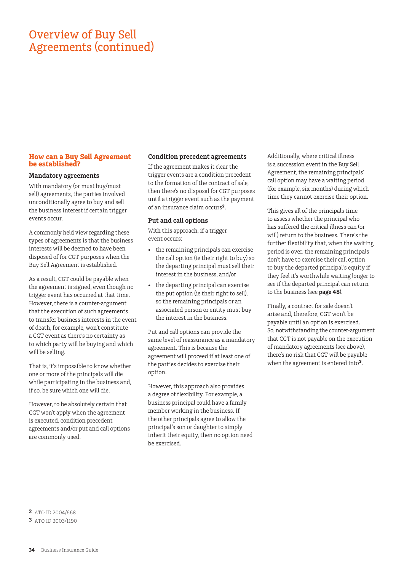## <span id="page-33-0"></span>Overview of Buy Sell Agreements (continued)

#### **How can a Buy Sell Agreement be established?**

#### **Mandatory agreements**

With mandatory (or must buy/must sell) agreements, the parties involved unconditionally agree to buy and sell the business interest if certain trigger events occur.

A commonly held view regarding these types of agreements is that the business interests will be deemed to have been disposed of for CGT purposes when the Buy Sell Agreement is established.

As a result, CGT could be payable when the agreement is signed, even though no trigger event has occurred at that time. However, there is a counter-argument that the execution of such agreements to transfer business interests in the event of death, for example, won't constitute a CGT event as there's no certainty as to which party will be buying and which will be selling.

That is, it's impossible to know whether one or more of the principals will die while participating in the business and, if so, be sure which one will die.

However, to be absolutely certain that CGT won't apply when the agreement is executed, condition precedent agreements and/or put and call options are commonly used.

#### **Condition precedent agreements**

If the agreement makes it clear the trigger events are a condition precedent to the formation of the contract of sale, then there's no disposal for CGT purposes until a trigger event such as the payment of an insurance claim occurs**<sup>2</sup>**.

#### **Put and call options**

With this approach, if a trigger event occurs:

- the remaining principals can exercise the call option (ie their right to buy) so the departing principal must sell their interest in the business, and/or
- the departing principal can exercise the put option (ie their right to sell), so the remaining principals or an associated person or entity must buy the interest in the business.

Put and call options can provide the same level of reassurance as a mandatory agreement. This is because the agreement will proceed if at least one of the parties decides to exercise their option.

However, this approach also provides a degree of flexibility. For example, a business principal could have a family member working in the business. If the other principals agree to allow the principal's son or daughter to simply inherit their equity, then no option need be exercised.

Additionally, where critical illness is a succession event in the Buy Sell Agreement, the remaining principals' call option may have a waiting period (for example, six months) during which time they cannot exercise their option.

This gives all of the principals time to assess whether the principal who has suffered the critical illness can (or will) return to the business. There's the further flexibility that, when the waiting period is over, the remaining principals don't have to exercise their call option to buy the departed principal's equity if they feel it's worthwhile waiting longer to see if the departed principal can return to the business (see **page 48**).

Finally, a contract for sale doesn't arise and, therefore, CGT won't be payable until an option is exercised. So, notwithstanding the counter-argument that CGT is not payable on the execution of mandatory agreements (see above), there's no risk that CGT will be payable when the agreement is entered into**3**.

**2** ATO ID 2004/668 **3** ATO ID 2003/1190

**34** | Business Insurance Guide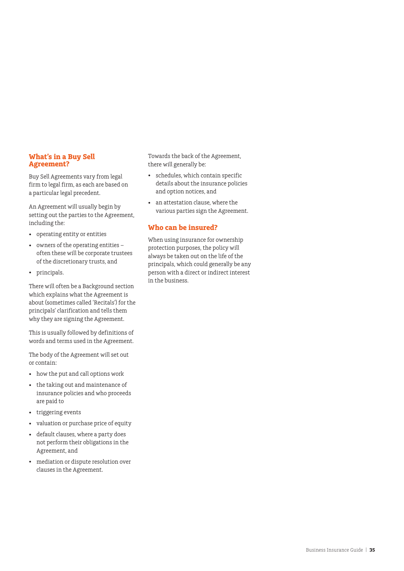#### <span id="page-34-0"></span>**What's in a Buy Sell Agreement?**

Buy Sell Agreements vary from legal firm to legal firm, as each are based on a particular legal precedent.

An Agreement will usually begin by setting out the parties to the Agreement, including the:

- operating entity or entities
- owners of the operating entities often these will be corporate trustees of the discretionary trusts, and
- principals.

There will often be a Background section which explains what the Agreement is about (sometimes called 'Recitals') for the principals' clarification and tells them why they are signing the Agreement.

This is usually followed by definitions of words and terms used in the Agreement.

The body of the Agreement will set out or contain:

- how the put and call options work
- the taking out and maintenance of insurance policies and who proceeds are paid to
- triggering events
- valuation or purchase price of equity
- default clauses, where a party does not perform their obligations in the Agreement, and
- mediation or dispute resolution over clauses in the Agreement.

Towards the back of the Agreement, there will generally be:

- schedules, which contain specific details about the insurance policies and option notices, and
- an attestation clause, where the various parties sign the Agreement.

#### **Who can be insured?**

When using insurance for ownership protection purposes, the policy will always be taken out on the life of the principals, which could generally be any person with a direct or indirect interest in the business.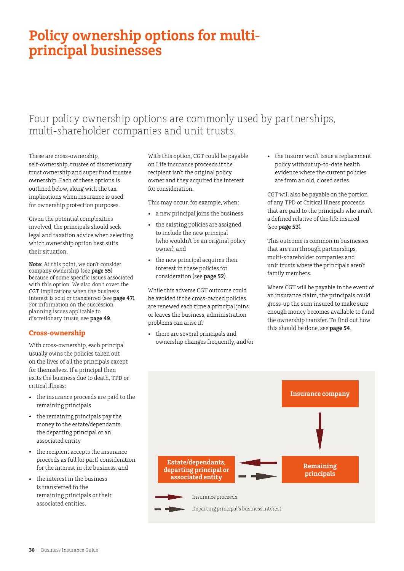# <span id="page-35-0"></span>**Policy ownership options for multiprincipal businesses**

## Four policy ownership options are commonly used by partnerships, multi-shareholder companies and unit trusts.

These are cross-ownership, self-ownership, trustee of discretionary trust ownership and super fund trustee ownership. Each of these options is outlined below, along with the tax implications when insurance is used for ownership protection purposes.

Given the potential complexities involved, the principals should seek legal and taxation advice when selecting which ownership option best suits their situation.

**Note**: At this point, we don't consider company ownership (see **page 55**) because of some specific issues associated with this option. We also don't cover the CGT implications when the business interest is sold or transferred (see **page 47**). For information on the succession planning issues applicable to discretionary trusts, see **page 49**.

#### **Cross-ownership**

With cross-ownership, each principal usually owns the policies taken out on the lives of all the principals except for themselves. If a principal then exits the business due to death, TPD or critical illness:

- the insurance proceeds are paid to the remaining principals
- the remaining principals pay the money to the estate/dependants, the departing principal or an associated entity
- the recipient accepts the insurance proceeds as full (or part) consideration for the interest in the business, and
- the interest in the business is transferred to the remaining principals or their associated entities.

With this option, CGT could be payable on Life insurance proceeds if the recipient isn't the original policy owner and they acquired the interest for consideration.

This may occur, for example, when:

- a new principal joins the business
- the existing policies are assigned to include the new principal (who wouldn't be an original policy owner), and
- the new principal acquires their interest in these policies for consideration (see **page 52**).

While this adverse CGT outcome could be avoided if the cross-owned policies are renewed each time a principal joins or leaves the business, administration problems can arise if:

• there are several principals and ownership changes frequently, and/or • the insurer won't issue a replacement policy without up-to-date health evidence where the current policies are from an old, closed series.

CGT will also be payable on the portion of any TPD or Critical Illness proceeds that are paid to the principals who aren't a defined relative of the life insured (see **page 53**).

This outcome is common in businesses that are run through partnerships, multi-shareholder companies and unit trusts where the principals aren't family members.

Where CGT will be payable in the event of an insurance claim, the principals could gross-up the sum insured to make sure enough money becomes available to fund the ownership transfer. To find out how this should be done, see **page 54**.

![](_page_35_Figure_22.jpeg)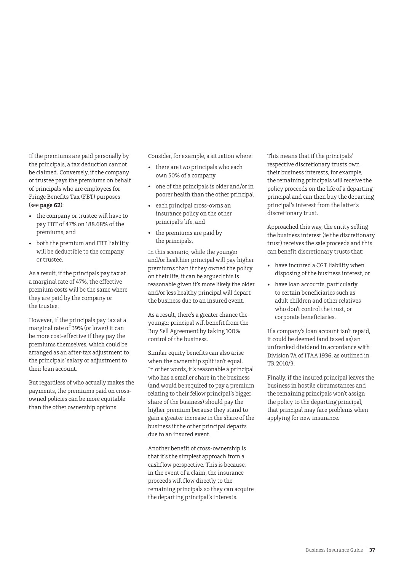If the premiums are paid personally by the principals, a tax deduction cannot be claimed. Conversely, if the company or trustee pays the premiums on behalf of principals who are employees for Fringe Benefits Tax (FBT) purposes (see **page 62**):

- the company or trustee will have to pay FBT of 47% on 188.68% of the premiums, and
- both the premium and FBT liability will be deductible to the company or trustee.

As a result, if the principals pay tax at a marginal rate of 47%, the effective premium costs will be the same where they are paid by the company or the trustee.

However, if the principals pay tax at a marginal rate of 39% (or lower) it can be more cost-effective if they pay the premiums themselves, which could be arranged as an after-tax adjustment to the principals' salary or adjustment to their loan account.

But regardless of who actually makes the payments, the premiums paid on crossowned policies can be more equitable than the other ownership options.

Consider, for example, a situation where:

- there are two principals who each own 50% of a company
- one of the principals is older and/or in poorer health than the other principal
- each principal cross-owns an insurance policy on the other principal's life, and
- the premiums are paid by the principals.

In this scenario, while the younger and/or healthier principal will pay higher premiums than if they owned the policy on their life, it can be argued this is reasonable given it's more likely the older and/or less healthy principal will depart the business due to an insured event.

As a result, there's a greater chance the younger principal will benefit from the Buy Sell Agreement by taking 100% control of the business.

Similar equity benefits can also arise when the ownership split isn't equal. In other words, it's reasonable a principal who has a smaller share in the business (and would be required to pay a premium relating to their fellow principal's bigger share of the business) should pay the higher premium because they stand to gain a greater increase in the share of the business if the other principal departs due to an insured event.

Another benefit of cross-ownership is that it's the simplest approach from a cashflow perspective. This is because, in the event of a claim, the insurance proceeds will flow directly to the remaining principals so they can acquire the departing principal's interests.

This means that if the principals' respective discretionary trusts own their business interests, for example, the remaining principals will receive the policy proceeds on the life of a departing principal and can then buy the departing principal's interest from the latter's discretionary trust.

Approached this way, the entity selling the business interest (ie the discretionary trust) receives the sale proceeds and this can benefit discretionary trusts that:

- have incurred a CGT liability when disposing of the business interest, or
- have loan accounts, particularly to certain beneficiaries such as adult children and other relatives who don't control the trust, or corporate beneficiaries.

If a company's loan account isn't repaid, it could be deemed (and taxed as) an unfranked dividend in accordance with Division 7A of ITAA 1936, as outlined in TR 2010/3.

Finally, if the insured principal leaves the business in hostile circumstances and the remaining principals won't assign the policy to the departing principal, that principal may face problems when applying for new insurance.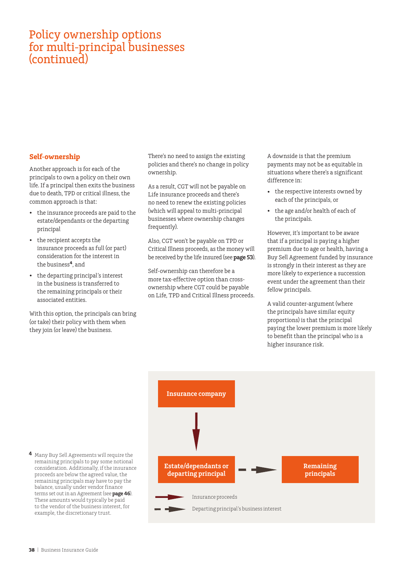## <span id="page-37-0"></span>Policy ownership options for multi-principal businesses (continued)

### **Self-ownership**

Another approach is for each of the principals to own a policy on their own life. If a principal then exits the business due to death, TPD or critical illness, the common approach is that:

- the insurance proceeds are paid to the estate/dependants or the departing principal
- the recipient accepts the insurance proceeds as full (or part) consideration for the interest in the business**4**, and
- the departing principal's interest in the business is transferred to the remaining principals or their associated entities.

With this option, the principals can bring (or take) their policy with them when they join (or leave) the business.

There's no need to assign the existing policies and there's no change in policy ownership.

As a result, CGT will not be payable on Life insurance proceeds and there's no need to renew the existing policies (which will appeal to multi-principal businesses where ownership changes frequently).

Also, CGT won't be payable on TPD or Critical Illness proceeds, as the money will be received by the life insured (see **page 53**).

Self-ownership can therefore be a more tax-effective option than crossownership where CGT could be payable on Life, TPD and Critical Illness proceeds. A downside is that the premium payments may not be as equitable in situations where there's a significant difference in:

- the respective interests owned by each of the principals, or
- the age and/or health of each of the principals.

However, it's important to be aware that if a principal is paying a higher premium due to age or health, having a Buy Sell Agreement funded by insurance is strongly in their interest as they are more likely to experience a succession event under the agreement than their fellow principals.

A valid counter-argument (where the principals have similar equity proportions) is that the principal paying the lower premium is more likely to benefit than the principal who is a higher insurance risk.

![](_page_37_Figure_16.jpeg)

**4** Many Buy Sell Agreements will require the remaining principals to pay some notional consideration. Additionally, if the insurance proceeds are below the agreed value, the remaining principals may have to pay the balance, usually under vendor finance terms set out in an Agreement (see **page 46**). These amounts would typically be paid to the vendor of the business interest, for example, the discretionary trust.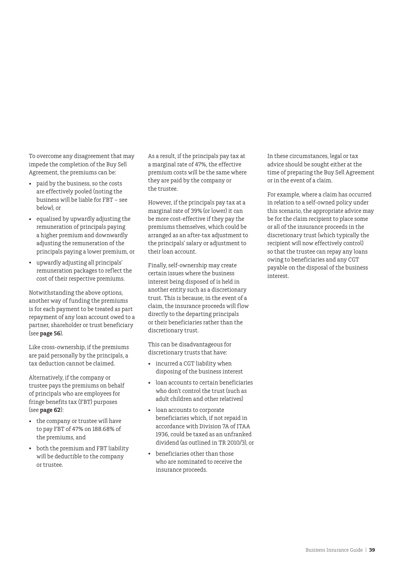To overcome any disagreement that may impede the completion of the Buy Sell Agreement, the premiums can be:

- paid by the business, so the costs are effectively pooled (noting the business will be liable for FBT – see below), or
- equalised by upwardly adjusting the remuneration of principals paying a higher premium and downwardly adjusting the remuneration of the principals paying a lower premium, or
- upwardly adjusting all principals' remuneration packages to reflect the cost of their respective premiums.

Notwithstanding the above options, another way of funding the premiums is for each payment to be treated as part repayment of any loan account owed to a partner, shareholder or trust beneficiary (see **page 56**).

Like cross-ownership, if the premiums are paid personally by the principals, a tax deduction cannot be claimed.

Alternatively, if the company or trustee pays the premiums on behalf of principals who are employees for fringe benefits tax (FBT) purposes (see **page 62**):

- the company or trustee will have to pay FBT of 47% on 188.68% of the premiums, and
- both the premium and FBT liability will be deductible to the company or trustee.

As a result, if the principals pay tax at a marginal rate of 47%, the effective premium costs will be the same where they are paid by the company or the trustee.

However, if the principals pay tax at a marginal rate of 39% (or lower) it can be more cost-effective if they pay the premiums themselves, which could be arranged as an after-tax adjustment to the principals' salary or adjustment to their loan account.

Finally, self-ownership may create certain issues where the business interest being disposed of is held in another entity such as a discretionary trust. This is because, in the event of a claim, the insurance proceeds will flow directly to the departing principals or their beneficiaries rather than the discretionary trust.

This can be disadvantageous for discretionary trusts that have:

- incurred a CGT liability when disposing of the business interest
- loan accounts to certain beneficiaries who don't control the trust (such as adult children and other relatives)
- loan accounts to corporate beneficiaries which, if not repaid in accordance with Division 7A of ITAA 1936, could be taxed as an unfranked dividend (as outlined in TR 2010/3), or
- beneficiaries other than those who are nominated to receive the insurance proceeds.

In these circumstances, legal or tax advice should be sought either at the time of preparing the Buy Sell Agreement or in the event of a claim.

For example, where a claim has occurred in relation to a self-owned policy under this scenario, the appropriate advice may be for the claim recipient to place some or all of the insurance proceeds in the discretionary trust (which typically the recipient will now effectively control) so that the trustee can repay any loans owing to beneficiaries and any CGT payable on the disposal of the business interest.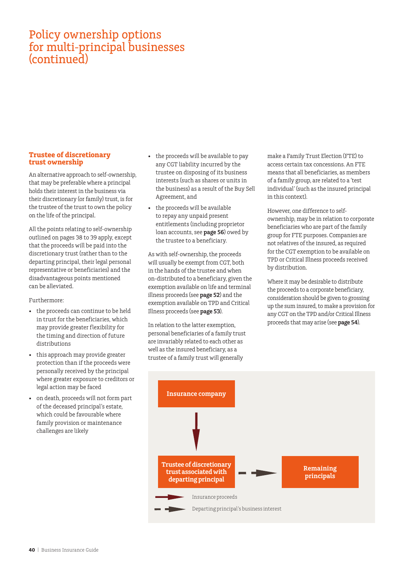## <span id="page-39-0"></span>Policy ownership options for multi-principal businesses (continued)

#### **Trustee of discretionary trust ownership**

An alternative approach to self-ownership, that may be preferable where a principal holds their interest in the business via their discretionary (or family) trust, is for the trustee of the trust to own the policy on the life of the principal.

All the points relating to self-ownership outlined on pages 38 to 39 apply, except that the proceeds will be paid into the discretionary trust (rather than to the departing principal, their legal personal representative or beneficiaries) and the disadvantageous points mentioned can be alleviated.

Furthermore:

- the proceeds can continue to be held in trust for the beneficiaries, which may provide greater flexibility for the timing and direction of future distributions
- this approach may provide greater protection than if the proceeds were personally received by the principal where greater exposure to creditors or legal action may be faced
- on death, proceeds will not form part of the deceased principal's estate, which could be favourable where family provision or maintenance challenges are likely
- the proceeds will be available to pay any CGT liability incurred by the trustee on disposing of its business interests (such as shares or units in the business) as a result of the Buy Sell Agreement, and
- the proceeds will be available to repay any unpaid present entitlements (including proprietor loan accounts, see **page 56**) owed by the trustee to a beneficiary.

As with self-ownership, the proceeds will usually be exempt from CGT, both in the hands of the trustee and when on-distributed to a beneficiary, given the exemption available on life and terminal illness proceeds (see **page 52**) and the exemption available on TPD and Critical Illness proceeds (see **page 53**).

In relation to the latter exemption, personal beneficiaries of a family trust are invariably related to each other as well as the insured beneficiary, as a trustee of a family trust will generally

make a Family Trust Election (FTE) to access certain tax concessions. An FTE means that all beneficiaries, as members of a family group, are related to a 'test individual' (such as the insured principal in this context).

However, one difference to selfownership, may be in relation to corporate beneficiaries who are part of the family group for FTE purposes. Companies are not relatives of the insured, as required for the CGT exemption to be available on TPD or Critical Illness proceeds received by distribution.

Where it may be desirable to distribute the proceeds to a corporate beneficiary, consideration should be given to grossing up the sum insured, to make a provision for any CGT on the TPD and/or Critical Illness proceeds that may arise (see **page 54**).

![](_page_39_Figure_15.jpeg)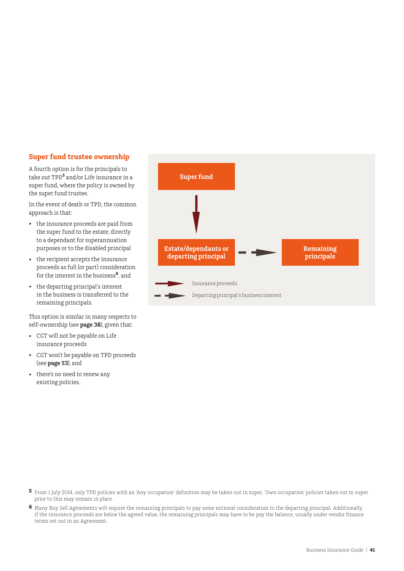#### <span id="page-40-0"></span>**Super fund trustee ownership**

A fourth option is for the principals to take out TPD**<sup>5</sup>** and/or Life insurance in a super fund, where the policy is owned by the super fund trustee.

In the event of death or TPD, the common approach is that:

- the insurance proceeds are paid from the super fund to the estate, directly to a dependant for superannuation purposes or to the disabled principal
- the recipient accepts the insurance proceeds as full (or part) consideration for the interest in the business**<sup>6</sup>** , and
- the departing principal's interest in the business is transferred to the remaining principals.

This option is similar in many respects to self-ownership (see **page 38**), given that:

- CGT will not be payable on Life insurance proceeds
- CGT won't be payable on TPD proceeds (see **page 53**), and
- there's no need to renew any existing policies.

![](_page_40_Figure_10.jpeg)

- **5** From 1 July 2014, only TPD policies with an 'Any occupation' definition may be taken out in super. 'Own occupation' policies taken out in super prior to this may remain in place.
- **6** Many Buy Sell Agreements will require the remaining principals to pay some notional consideration to the departing principal. Additionally, if the insurance proceeds are below the agreed value, the remaining principals may have to be pay the balance, usually under vendor finance terms set out in an Agreement.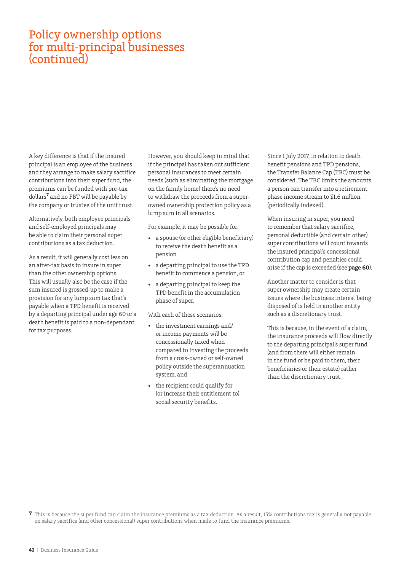## Policy ownership options for multi-principal businesses (continued)

A key difference is that if the insured principal is an employee of the business and they arrange to make salary sacrifice contributions into their super fund, the premiums can be funded with pre-tax dollars**<sup>7</sup>** and no FBT will be payable by the company or trustee of the unit trust.

Alternatively, both employee principals and self-employed principals may be able to claim their personal super contributions as a tax deduction.

As a result, it will generally cost less on an after-tax basis to insure in super than the other ownership options. This will usually also be the case if the sum insured is grossed-up to make a provision for any lump sum tax that's payable when a TPD benefit is received by a departing principal under age 60 or a death benefit is paid to a non-dependant for tax purposes.

However, you should keep in mind that if the principal has taken out sufficient personal insurances to meet certain needs (such as eliminating the mortgage on the family home) there's no need to withdraw the proceeds from a superowned ownership protection policy as a lump sum in all scenarios.

For example, it may be possible for:

- a spouse (or other eligible beneficiary) to receive the death benefit as a pension
- a departing principal to use the TPD benefit to commence a pension, or
- a departing principal to keep the TPD benefit in the accumulation phase of super.

With each of these scenarios:

- the investment earnings and/ or income payments will be concessionally taxed when compared to investing the proceeds from a cross-owned or self-owned policy outside the superannuation system, and
- the recipient could qualify for (or increase their entitlement to) social security benefits.

Since 1 July 2017, in relation to death benefit pensions and TPD pensions, the Transfer Balance Cap (TBC) must be considered. The TBC limits the amounts a person can transfer into a retirement phase income stream to \$1.6 million (periodically indexed).

When insuring in super, you need to remember that salary sacrifice, personal deductible (and certain other) super contributions will count towards the insured principal's concessional contribution cap and penalties could arise if the cap is exceeded (see **page 60**).

Another matter to consider is that super ownership may create certain issues where the business interest being disposed of is held in another entity such as a discretionary trust.

This is because, in the event of a claim, the insurance proceeds will flow directly to the departing principal's super fund (and from there will either remain in the fund or be paid to them, their beneficiaries or their estate) rather than the discretionary trust.

**<sup>7</sup>** This is because the super fund can claim the insurance premiums as a tax deduction. As a result, 15% contributions tax is generally not payable on salary sacrifice (and other concessional) super contributions when made to fund the insurance premiums.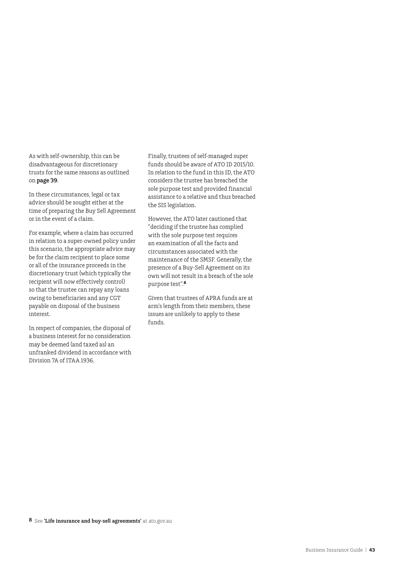As with self-ownership, this can be disadvantageous for discretionary trusts for the same reasons as outlined on **page 39**.

In these circumstances, legal or tax advice should be sought either at the time of preparing the Buy Sell Agreement or in the event of a claim.

For example, where a claim has occurred in relation to a super-owned policy under this scenario, the appropriate advice may be for the claim recipient to place some or all of the insurance proceeds in the discretionary trust (which typically the recipient will now effectively control) so that the trustee can repay any loans owing to beneficiaries and any CGT payable on disposal of the business interest.

In respect of companies, the disposal of a business interest for no consideration may be deemed (and taxed as) an unfranked dividend in accordance with Division 7A of ITAA 1936.

Finally, trustees of self-managed super funds should be aware of ATO ID 2015/10. In relation to the fund in this ID, the ATO considers the trustee has breached the sole purpose test and provided financial assistance to a relative and thus breached the SIS legislation.

However, the ATO later cautioned that "deciding if the trustee has complied with the sole purpose test requires an examination of all the facts and circumstances associated with the maintenance of the SMSF. Generally, the presence of a Buy-Sell Agreement on its own will not result in a breach of the sole purpose test".**<sup>8</sup>**

Given that trustees of APRA funds are at arm's length from their members, these issues are unlikely to apply to these funds.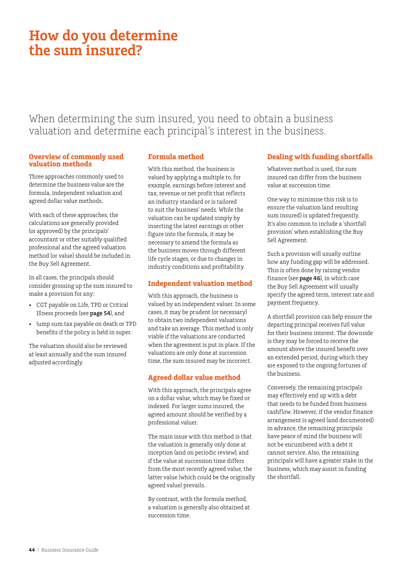# <span id="page-43-0"></span>**How do you determine the sum insured?**

When determining the sum insured, you need to obtain a business valuation and determine each principal's interest in the business.

#### **Overview of commonly used valuation methods**

Three approaches commonly used to determine the business value are the formula, independent valuation and agreed dollar value methods.

With each of these approaches, the calculations are generally provided (or approved) by the principals' accountant or other suitably qualified professional and the agreed valuation method (or value) should be included in the Buy Sell Agreement.

In all cases, the principals should consider grossing up the sum insured to make a provision for any:

- CGT payable on Life, TPD or Critical Illness proceeds (see **page 54**), and
- lump sum tax payable on death or TPD benefits if the policy is held in super.

The valuation should also be reviewed at least annually and the sum insured adjusted accordingly.

### **Formula method**

With this method, the business is valued by applying a multiple to, for example, earnings before interest and tax, revenue or net profit that reflects an industry standard or is tailored to suit the business' needs. While the valuation can be updated simply by inserting the latest earnings or other figure into the formula, it may be necessary to amend the formula as the business moves through different life cycle stages, or due to changes in industry conditions and profitability.

### **Independent valuation method**

With this approach, the business is valued by an independent valuer. In some cases, it may be prudent (or necessary) to obtain two independent valuations and take an average. This method is only viable if the valuations are conducted when the agreement is put in place. If the valuations are only done at succession time, the sum insured may be incorrect.

### **Agreed dollar value method**

With this approach, the principals agree on a dollar value, which may be fixed or indexed. For larger sums insured, the agreed amount should be verified by a professional valuer.

The main issue with this method is that the valuation is generally only done at inception (and on periodic review), and if the value at succession time differs from the most recently agreed value, the latter value (which could be the originally agreed value) prevails.

By contrast, with the formula method, a valuation is generally also obtained at succession time.

### **Dealing with funding shortfalls**

Whatever method is used, the sum insured can differ from the business value at succession time.

One way to minimise this risk is to ensure the valuation (and resulting sum insured) is updated frequently. It's also common to include a 'shortfall provision' when establishing the Buy Sell Agreement.

Such a provision will usually outline how any funding gap will be addressed. This is often done by raising vendor finance (see **page 46**), in which case the Buy Sell Agreement will usually specify the agreed term, interest rate and payment frequency.

A shortfall provision can help ensure the departing principal receives full value for their business interest. The downside is they may be forced to receive the amount above the insured benefit over an extended period, during which they are exposed to the ongoing fortunes of the business.

Conversely, the remaining principals may effectively end up with a debt that needs to be funded from business cashflow. However, if the vendor finance arrangement is agreed (and documented) in advance, the remaining principals have peace of mind the business will not be encumbered with a debt it cannot service. Also, the remaining principals will have a greater stake in the business, which may assist in funding the shortfall.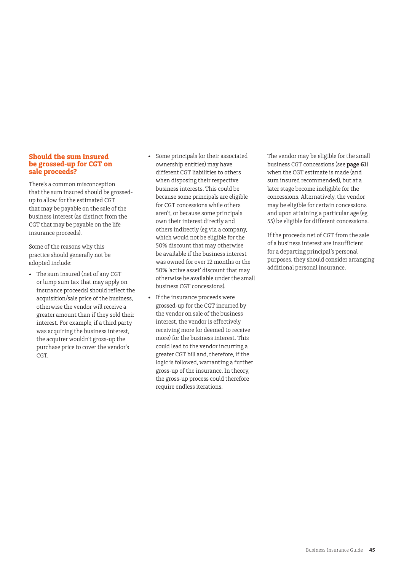#### <span id="page-44-0"></span>**Should the sum insured be grossed-up for CGT on sale proceeds?**

There's a common misconception that the sum insured should be grossedup to allow for the estimated CGT that may be payable on the sale of the business interest (as distinct from the CGT that may be payable on the life insurance proceeds).

Some of the reasons why this practice should generally not be adopted include:

- The sum insured (net of any CGT or lump sum tax that may apply on insurance proceeds) should reflect the acquisition/sale price of the business, otherwise the vendor will receive a greater amount than if they sold their interest. For example, if a third party was acquiring the business interest, the acquirer wouldn't gross-up the purchase price to cover the vendor's CGT.
- Some principals (or their associated ownership entities) may have different CGT liabilities to others when disposing their respective business interests. This could be because some principals are eligible for CGT concessions while others aren't, or because some principals own their interest directly and others indirectly (eg via a company, which would not be eligible for the 50% discount that may otherwise be available if the business interest was owned for over 12 months or the 50% 'active asset' discount that may otherwise be available under the small business CGT concessions).
- If the insurance proceeds were grossed-up for the CGT incurred by the vendor on sale of the business interest, the vendor is effectively receiving more (or deemed to receive more) for the business interest. This could lead to the vendor incurring a greater CGT bill and, therefore, if the logic is followed, warranting a further gross-up of the insurance. In theory, the gross-up process could therefore require endless iterations.

The vendor may be eligible for the small business CGT concessions (see **page 61**) when the CGT estimate is made (and sum insured recommended), but at a later stage become ineligible for the concessions. Alternatively, the vendor may be eligible for certain concessions and upon attaining a particular age (eg 55) be eligible for different concessions.

If the proceeds net of CGT from the sale of a business interest are insufficient for a departing principal's personal purposes, they should consider arranging additional personal insurance.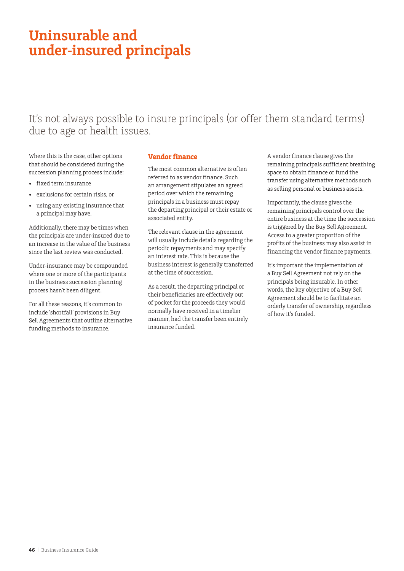# <span id="page-45-0"></span>**Uninsurable and under-insured principals**

## It's not always possible to insure principals (or offer them standard terms) due to age or health issues.

Where this is the case, other options that should be considered during the succession planning process include:

- fixed term insurance
- exclusions for certain risks, or
- using any existing insurance that a principal may have.

Additionally, there may be times when the principals are under-insured due to an increase in the value of the business since the last review was conducted.

Under-insurance may be compounded where one or more of the participants in the business succession planning process hasn't been diligent.

For all these reasons, it's common to include 'shortfall' provisions in Buy Sell Agreements that outline alternative funding methods to insurance.

#### **Vendor finance**

The most common alternative is often referred to as vendor finance. Such an arrangement stipulates an agreed period over which the remaining principals in a business must repay the departing principal or their estate or associated entity.

The relevant clause in the agreement will usually include details regarding the periodic repayments and may specify an interest rate. This is because the business interest is generally transferred at the time of succession.

As a result, the departing principal or their beneficiaries are effectively out of pocket for the proceeds they would normally have received in a timelier manner, had the transfer been entirely insurance funded.

A vendor finance clause gives the remaining principals sufficient breathing space to obtain finance or fund the transfer using alternative methods such as selling personal or business assets.

Importantly, the clause gives the remaining principals control over the entire business at the time the succession is triggered by the Buy Sell Agreement. Access to a greater proportion of the profits of the business may also assist in financing the vendor finance payments.

It's important the implementation of a Buy Sell Agreement not rely on the principals being insurable. In other words, the key objective of a Buy Sell Agreement should be to facilitate an orderly transfer of ownership, regardless of how it's funded.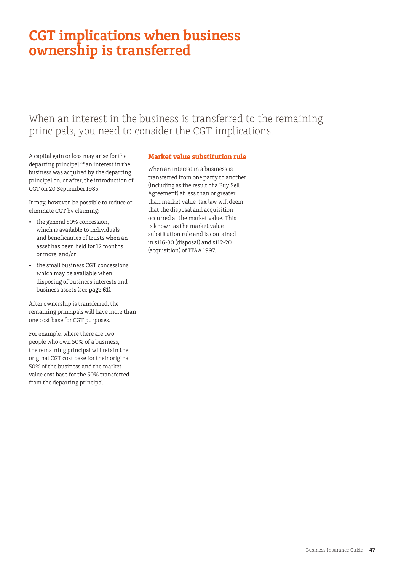# <span id="page-46-0"></span>**CGT implications when business ownership is transferred**

## When an interest in the business is transferred to the remaining principals, you need to consider the CGT implications.

A capital gain or loss may arise for the departing principal if an interest in the business was acquired by the departing principal on, or after, the introduction of CGT on 20 September 1985.

It may, however, be possible to reduce or eliminate CGT by claiming:

- the general 50% concession, which is available to individuals and beneficiaries of trusts when an asset has been held for 12 months or more, and/or
- the small business CGT concessions, which may be available when disposing of business interests and business assets (see **page 61**).

After ownership is transferred, the remaining principals will have more than one cost base for CGT purposes.

For example, where there are two people who own 50% of a business, the remaining principal will retain the original CGT cost base for their original 50% of the business and the market value cost base for the 50% transferred from the departing principal.

### **Market value substitution rule**

When an interest in a business is transferred from one party to another (including as the result of a Buy Sell Agreement) at less than or greater than market value, tax law will deem that the disposal and acquisition occurred at the market value. This is known as the market value substitution rule and is contained in s116-30 (disposal) and s112-20 (acquisition) of ITAA 1997.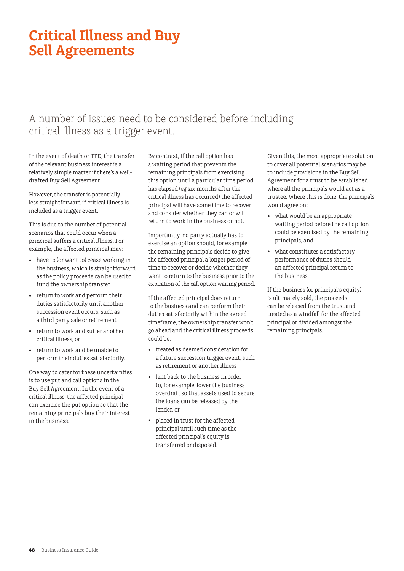# <span id="page-47-0"></span>**Critical Illness and Buy Sell Agreements**

## A number of issues need to be considered before including critical illness as a trigger event.

In the event of death or TPD, the transfer of the relevant business interest is a relatively simple matter if there's a welldrafted Buy Sell Agreement.

However, the transfer is potentially less straightforward if critical illness is included as a trigger event.

This is due to the number of potential scenarios that could occur when a principal suffers a critical illness. For example, the affected principal may:

- have to (or want to) cease working in the business, which is straightforward as the policy proceeds can be used to fund the ownership transfer
- return to work and perform their duties satisfactorily until another succession event occurs, such as a third party sale or retirement
- return to work and suffer another critical illness, or
- return to work and be unable to perform their duties satisfactorily.

One way to cater for these uncertainties is to use put and call options in the Buy Sell Agreement. In the event of a critical illness, the affected principal can exercise the put option so that the remaining principals buy their interest in the business.

By contrast, if the call option has a waiting period that prevents the remaining principals from exercising this option until a particular time period has elapsed (eg six months after the critical illness has occurred) the affected principal will have some time to recover and consider whether they can or will return to work in the business or not.

Importantly, no party actually has to exercise an option should, for example, the remaining principals decide to give the affected principal a longer period of time to recover or decide whether they want to return to the business prior to the expiration of the call option waiting period.

If the affected principal does return to the business and can perform their duties satisfactorily within the agreed timeframe, the ownership transfer won't go ahead and the critical illness proceeds could be:

- treated as deemed consideration for a future succession trigger event, such as retirement or another illness
- lent back to the business in order to, for example, lower the business overdraft so that assets used to secure the loans can be released by the lender, or
- placed in trust for the affected principal until such time as the affected principal's equity is transferred or disposed.

Given this, the most appropriate solution to cover all potential scenarios may be to include provisions in the Buy Sell Agreement for a trust to be established where all the principals would act as a trustee. Where this is done, the principals would agree on:

- what would be an appropriate waiting period before the call option could be exercised by the remaining principals, and
- what constitutes a satisfactory performance of duties should an affected principal return to the business.

If the business (or principal's equity) is ultimately sold, the proceeds can be released from the trust and treated as a windfall for the affected principal or divided amongst the remaining principals.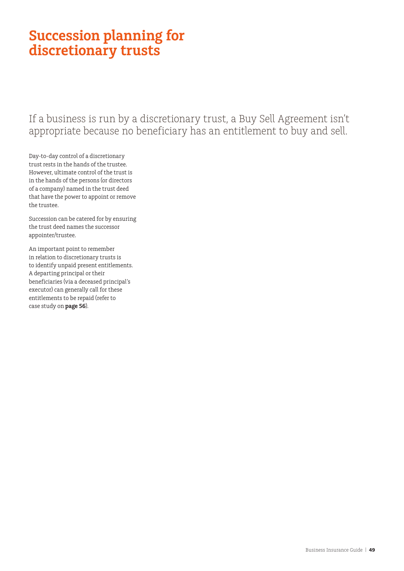# <span id="page-48-0"></span>**Succession planning for discretionary trusts**

If a business is run by a discretionary trust, a Buy Sell Agreement isn't appropriate because no beneficiary has an entitlement to buy and sell.

Day-to-day control of a discretionary trust rests in the hands of the trustee. However, ultimate control of the trust is in the hands of the persons (or directors of a company) named in the trust deed that have the power to appoint or remove the trustee.

Succession can be catered for by ensuring the trust deed names the successor appointer/trustee.

An important point to remember in relation to discretionary trusts is to identify unpaid present entitlements. A departing principal or their beneficiaries (via a deceased principal's executor) can generally call for these entitlements to be repaid (refer to case study on **page 56**).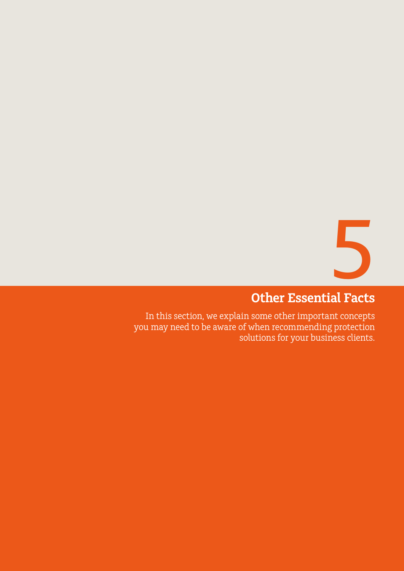5

# **Other Essential Facts**

<span id="page-49-0"></span>In this section, we explain some other important concepts you may need to be aware of when recommending protection solutions for your business clients.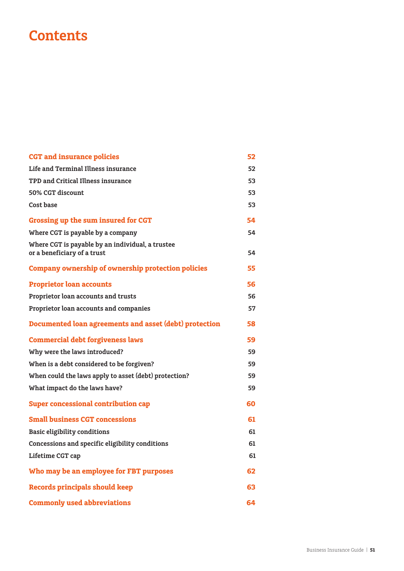# **Contents**

| <b>CGT</b> and insurance policies                                               | 52 |
|---------------------------------------------------------------------------------|----|
| Life and Terminal Illness insurance                                             | 52 |
| TPD and Critical Illness insurance                                              | 53 |
| 50% CGT discount                                                                | 53 |
| Cost base                                                                       | 53 |
| Grossing up the sum insured for CGT                                             | 54 |
| Where CGT is payable by a company                                               | 54 |
| Where CGT is payable by an individual, a trustee<br>or a beneficiary of a trust | 54 |
| Company ownership of ownership protection policies                              | 55 |
| <b>Proprietor loan accounts</b>                                                 | 56 |
| Proprietor loan accounts and trusts                                             | 56 |
| Proprietor loan accounts and companies                                          | 57 |
| Documented loan agreements and asset (debt) protection                          | 58 |
| <b>Commercial debt forgiveness laws</b>                                         | 59 |
| Why were the laws introduced?                                                   | 59 |
| When is a debt considered to be forgiven?                                       | 59 |
| When could the laws apply to asset (debt) protection?                           | 59 |
| What impact do the laws have?                                                   | 59 |
| <b>Super concessional contribution cap</b>                                      | 60 |
| <b>Small business CGT concessions</b>                                           | 61 |
| <b>Basic eligibility conditions</b>                                             | 61 |
| Concessions and specific eligibility conditions                                 | 61 |
| Lifetime CGT cap                                                                | 61 |
| Who may be an employee for FBT purposes                                         | 62 |
| <b>Records principals should keep</b>                                           | 63 |
| <b>Commonly used abbreviations</b>                                              | 64 |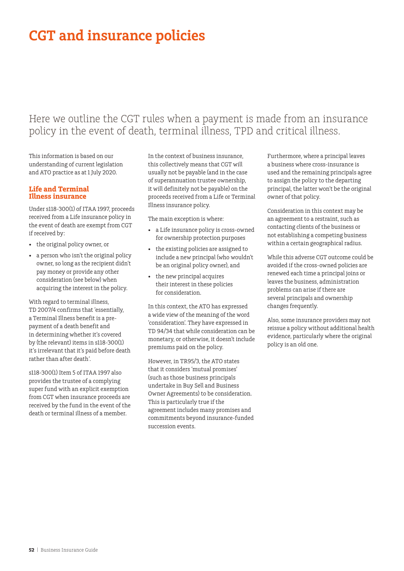# <span id="page-51-0"></span>**CGT and insurance policies**

### Here we outline the CGT rules when a payment is made from an insurance policy in the event of death, terminal illness, TPD and critical illness.

This information is based on our understanding of current legislation and ATO practice as at 1 July 2020.

#### **Life and Terminal Illness insurance**

Under s118-300(1) of ITAA 1997, proceeds received from a Life insurance policy in the event of death are exempt from CGT if received by:

- the original policy owner, or
- a person who isn't the original policy owner, so long as the recipient didn't pay money or provide any other consideration (see below) when acquiring the interest in the policy.

With regard to terminal illness, TD 2007/4 confirms that 'essentially, a Terminal Illness benefit is a prepayment of a death benefit and in determining whether it's covered by (the relevant) items in s118-300(1) it's irrelevant that it's paid before death rather than after death'.

s118-300(1) Item 5 of ITAA 1997 also provides the trustee of a complying super fund with an explicit exemption from CGT when insurance proceeds are received by the fund in the event of the death or terminal illness of a member.

In the context of business insurance, this collectively means that CGT will usually not be payable (and in the case of superannuation trustee ownership, it will definitely not be payable) on the proceeds received from a Life or Terminal Illness insurance policy.

The main exception is where:

- a Life insurance policy is cross-owned for ownership protection purposes
- the existing policies are assigned to include a new principal (who wouldn't be an original policy owner), and
- the new principal acquires their interest in these policies for consideration.

In this context, the ATO has expressed a wide view of the meaning of the word 'consideration'. They have expressed in TD 94/34 that while consideration can be monetary, or otherwise, it doesn't include premiums paid on the policy.

However, in TR95/3, the ATO states that it considers 'mutual promises' (such as those business principals undertake in Buy Sell and Business Owner Agreements) to be consideration. This is particularly true if the agreement includes many promises and commitments beyond insurance-funded succession events.

Furthermore, where a principal leaves a business where cross-insurance is used and the remaining principals agree to assign the policy to the departing principal, the latter won't be the original owner of that policy.

Consideration in this context may be an agreement to a restraint, such as contacting clients of the business or not establishing a competing business within a certain geographical radius.

While this adverse CGT outcome could be avoided if the cross-owned policies are renewed each time a principal joins or leaves the business, administration problems can arise if there are several principals and ownership changes frequently.

Also, some insurance providers may not reissue a policy without additional health evidence, particularly where the original policy is an old one.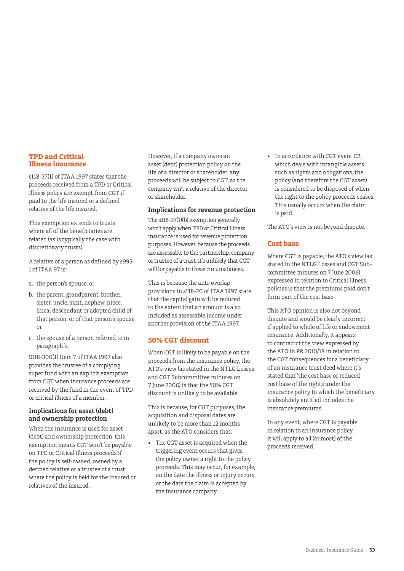#### <span id="page-52-0"></span>**TPD and Critical Illness insurance**

s118-37(1) of ITAA 1997 states that the proceeds received from a TPD or Critical Illness policy are exempt from CGT if paid to the life insured or a defined relative of the life insured.

This exemption extends to trusts where all of the beneficiaries are related (as is typically the case with discretionary trusts).

A relative of a person as defined by s995- 1 of ITAA 97 is:

- a. the person's spouse, or
- b. the parent, grandparent, brother, sister, uncle, aunt, nephew, niece, lineal descendant or adopted child of that person, or of that person's spouse, or
- c. the spouse of a person referred to in paragraph b.

S118-300(1) Item 7 of ITAA 1997 also provides the trustee of a complying super fund with an explicit exemption from CGT when insurance proceeds are received by the fund in the event of TPD or critical illness of a member.

#### **Implications for asset (debt) and ownership protection**

When the insurance is used for asset (debt) and ownership protection, this exemption means CGT won't be payable on TPD or Critical Illness proceeds if the policy is self-owned, owned by a defined relative or a trustee of a trust where the policy is held for the insured or relatives of the insured.

However, if a company owns an asset (debt) protection policy on the life of a director or shareholder, any proceeds will be subject to CGT, as the company isn't a relative of the director or shareholder.

#### **Implications for revenue protection**

The s118-37(1)(b) exemption generally won't apply when TPD or Critical Illness insurance is used for revenue protection purposes. However, because the proceeds are assessable to the partnership, company or trustee of a trust, it's unlikely that CGT will be payable in these circumstances.

This is because the anti-overlap provisions in s118-20 of ITAA 1997 state that the capital gain will be reduced to the extent that an amount is also included as assessable income under another provision of the ITAA 1997.

### **50% CGT discount**

When CGT is likely to be payable on the proceeds from the insurance policy, the ATO's view (as stated in the NTLG Losses and CGT Subcommittee minutes on 7 June 2006) is that the 50% CGT discount is unlikely to be available.

This is because, for CGT purposes, the acquisition and disposal dates are unlikely to be more than 12 months apart, as the ATO considers that:

The CGT asset is acquired when the triggering event occurs that gives the policy owner a right to the policy proceeds. This may occur, for example, on the date the illness or injury occurs, or the date the claim is accepted by the insurance company.

• In accordance with CGT event C2, which deals with intangible assets such as rights and obligations, the policy (and therefore the CGT asset) is considered to be disposed of when the right to the policy proceeds ceases. This usually occurs when the claim is paid.

The ATO's view is not beyond dispute.

### **Cost base**

Where CGT is payable, the ATO's view (as stated in the NTLG Losses and CGT Subcommittee minutes on 7 June 2006) expressed in relation to Critical Illness policies is that the premiums paid don't form part of the cost base.

This ATO opinion is also not beyond dispute and would be clearly incorrect if applied to whole of life or endowment insurance. Additionally, it appears to contradict the view expressed by the ATO in PR 2010/18 in relation to the CGT consequences for a beneficiary of an insurance trust deed where it's stated that 'the cost base or reduced cost base of the rights under the insurance policy to which the beneficiary is absolutely entitled includes the insurance premiums'.

In any event, where CGT is payable in relation to an insurance policy, it will apply to all (or most) of the proceeds received.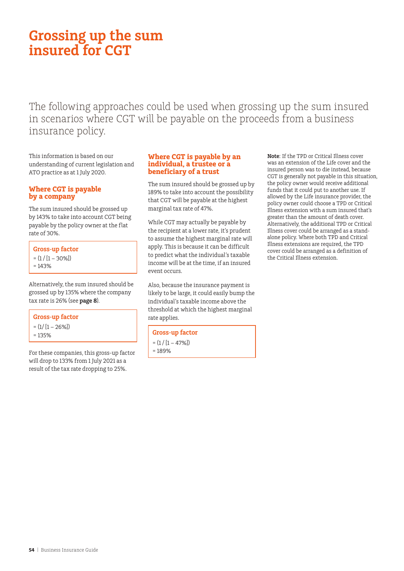# <span id="page-53-0"></span>**Grossing up the sum insured for CGT**

The following approaches could be used when grossing up the sum insured in scenarios where CGT will be payable on the proceeds from a business insurance policy.

This information is based on our understanding of current legislation and ATO practice as at 1 July 2020.

### **Where CGT is payable by a company**

The sum insured should be grossed up by 143% to take into account CGT being payable by the policy owner at the flat rate of 30%.

**Gross-up factor**   $= (1 / [1 - 30\%])$  $= 143%$ 

Alternatively, the sum insured should be grossed up by 135% where the company tax rate is 26% (see **page 8**).

#### **Gross-up factor**

 $= (1/ [1 - 26\%])$  $= 135%$ 

For these companies, this gross-up factor will drop to 133% from 1 July 2021 as a result of the tax rate dropping to 25%.

#### **Where CGT is payable by an individual, a trustee or a beneficiary of a trust**

The sum insured should be grossed up by 189% to take into account the possibility that CGT will be payable at the highest marginal tax rate of 47%.

While CGT may actually be payable by the recipient at a lower rate, it's prudent to assume the highest marginal rate will apply. This is because it can be difficult to predict what the individual's taxable income will be at the time, if an insured event occurs.

Also, because the insurance payment is likely to be large, it could easily bump the individual's taxable income above the threshold at which the highest marginal rate applies.

#### **Gross-up factor**

- $= (1 / [1 47\%])$
- $= 189%$

**Note**: If the TPD or Critical Illness cover was an extension of the Life cover and the insured person was to die instead, because CGT is generally not payable in this situation, the policy owner would receive additional funds that it could put to another use. If allowed by the Life insurance provider, the policy owner could choose a TPD or Critical Illness extension with a sum insured that's greater than the amount of death cover. Alternatively, the additional TPD or Critical Illness cover could be arranged as a standalone policy. Where both TPD and Critical Illness extensions are required, the TPD cover could be arranged as a definition of the Critical Illness extension.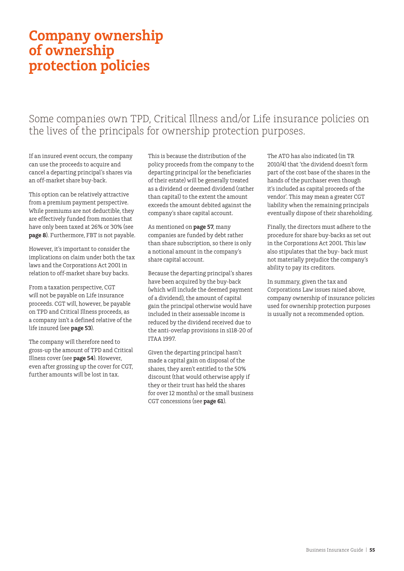# <span id="page-54-0"></span>**Company ownership of ownership protection policies**

## Some companies own TPD, Critical Illness and/or Life insurance policies on the lives of the principals for ownership protection purposes.

If an insured event occurs, the company can use the proceeds to acquire and cancel a departing principal's shares via an off-market share buy-back.

This option can be relatively attractive from a premium payment perspective. While premiums are not deductible, they are effectively funded from monies that have only been taxed at 26% or 30% (see **page 8**). Furthermore, FBT is not payable.

However, it's important to consider the implications on claim under both the tax laws and the Corporations Act 2001 in relation to off-market share buy backs.

From a taxation perspective, CGT will not be payable on Life insurance proceeds. CGT will, however, be payable on TPD and Critical Illness proceeds, as a company isn't a defined relative of the life insured (see **page 53**).

The company will therefore need to gross-up the amount of TPD and Critical Illness cover (see **page 54**). However, even after grossing up the cover for CGT, further amounts will be lost in tax.

This is because the distribution of the policy proceeds from the company to the departing principal (or the beneficiaries of their estate) will be generally treated as a dividend or deemed dividend (rather than capital) to the extent the amount exceeds the amount debited against the company's share capital account.

As mentioned on **page 57**, many companies are funded by debt rather than share subscription, so there is only a notional amount in the company's share capital account.

Because the departing principal's shares have been acquired by the buy-back (which will include the deemed payment of a dividend), the amount of capital gain the principal otherwise would have included in their assessable income is reduced by the dividend received due to the anti-overlap provisions in s118-20 of ITAA 1997.

Given the departing principal hasn't made a capital gain on disposal of the shares, they aren't entitled to the 50% discount (that would otherwise apply if they or their trust has held the shares for over 12 months) or the small business CGT concessions (see **page 61**).

The ATO has also indicated (in TR 2010/4) that 'the dividend doesn't form part of the cost base of the shares in the hands of the purchaser even though it's included as capital proceeds of the vendor'. This may mean a greater CGT liability when the remaining principals eventually dispose of their shareholding.

Finally, the directors must adhere to the procedure for share buy-backs as set out in the Corporations Act 2001. This law also stipulates that the buy- back must not materially prejudice the company's ability to pay its creditors.

In summary, given the tax and Corporations Law issues raised above, company ownership of insurance policies used for ownership protection purposes is usually not a recommended option.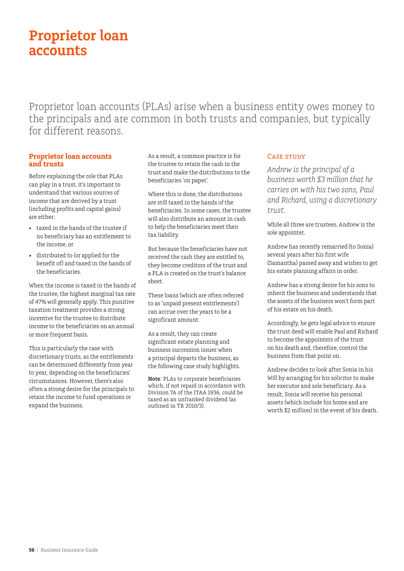# <span id="page-55-0"></span>**Proprietor loan accounts**

Proprietor loan accounts (PLAs) arise when a business entity owes money to the principals and are common in both trusts and companies, but typically for different reasons.

#### **Proprietor loan accounts and trusts**

Before explaining the role that PLAs can play in a trust, it's important to understand that various sources of income that are derived by a trust (including profits and capital gains) are either:

- taxed in the hands of the trustee if no beneficiary has an entitlement to the income, or
- distributed to (or applied for the benefit of) and taxed in the hands of the beneficiaries.

When the income is taxed in the hands of the trustee, the highest marginal tax rate of 47% will generally apply. This punitive taxation treatment provides a strong incentive for the trustee to distribute income to the beneficiaries on an annual or more frequent basis.

This is particularly the case with discretionary trusts, as the entitlements can be determined differently from year to year, depending on the beneficiaries' circumstances. However, there's also often a strong desire for the principals to retain the income to fund operations or expand the business.

As a result, a common practice is for the trustee to retain the cash in the trust and make the distributions to the beneficiaries 'on paper'.

Where this is done, the distributions are still taxed in the hands of the beneficiaries. In some cases, the trustee will also distribute an amount in cash to help the beneficiaries meet their tax liability.

But because the beneficiaries have not received the cash they are entitled to, they become creditors of the trust and a PLA is created on the trust's balance sheet.

These loans (which are often referred to as 'unpaid present entitlements') can accrue over the years to be a significant amount.

As a result, they can create significant estate planning and business succession issues when a principal departs the business, as the following case study highlights.

**Note**: PLAs to corporate beneficiaries which, if not repaid in accordance with Division 7A of the ITAA 1936, could be taxed as an unfranked dividend (as outlined in TR 2010/3).

### CASE STUDY

*Andrew is the principal of a business worth \$3 million that he carries on with his two sons, Paul and Richard, using a discretionary trust.*

While all three are trustees, Andrew is the sole appointer.

Andrew has recently remarried (to Sonia) several years after his first wife (Samantha) passed away and wishes to get his estate planning affairs in order.

Andrew has a strong desire for his sons to inherit the business and understands that the assets of the business won't form part of his estate on his death.

Accordingly, he gets legal advice to ensure the trust deed will enable Paul and Richard to become the appointers of the trust on his death and, therefore, control the business from that point on.

Andrew decides to look after Sonia in his Will by arranging for his solicitor to make her executor and sole beneficiary. As a result, Sonia will receive his personal assets (which include his home and are worth \$2 million) in the event of his death.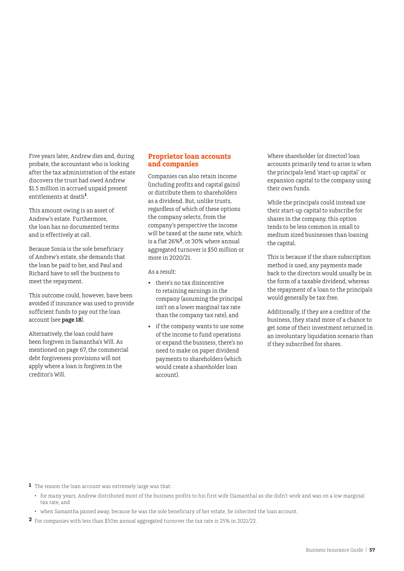<span id="page-56-0"></span>Five years later, Andrew dies and, during probate, the accountant who is looking after the tax administration of the estate discovers the trust had owed Andrew \$1.5 million in accrued unpaid present entitlements at death**<sup>1</sup>** .

This amount owing is an asset of Andrew's estate. Furthermore, the loan has no documented terms and is effectively at call.

Because Sonia is the sole beneficiary of Andrew's estate, she demands that the loan be paid to her, and Paul and Richard have to sell the business to meet the repayment.

This outcome could, however, have been avoided if insurance was used to provide sufficient funds to pay out the loan account (see **page 18**).

Alternatively, the loan could have been forgiven in Samantha's Will. As mentioned on page 67, the commercial debt forgiveness provisions will not apply where a loan is forgiven in the creditor's Will.

### **Proprietor loan accounts and companies**

Companies can also retain income (including profits and capital gains) or distribute them to shareholders as a dividend. But, unlike trusts, regardless of which of these options the company selects, from the company's perspective the income will be taxed at the same rate, which is a flat 26%**2**, or 30% where annual aggregated turnover is \$50 million or more in 2020/21.

As a result:

- there's no tax disincentive to retaining earnings in the company (assuming the principal isn't on a lower marginal tax rate than the company tax rate), and
- if the company wants to use some of the income to fund operations or expand the business, there's no need to make on paper dividend payments to shareholders (which would create a shareholder loan account).

Where shareholder (or director) loan accounts primarily tend to arise is when the principals lend 'start-up capital' or expansion capital to the company using their own funds.

While the principals could instead use their start-up capital to subscribe for shares in the company, this option tends to be less common in small to medium sized businesses than loaning the capital.

This is because if the share subscription method is used, any payments made back to the directors would usually be in the form of a taxable dividend, whereas the repayment of a loan to the principals would generally be tax-free.

Additionally, if they are a creditor of the business, they stand more of a chance to get some of their investment returned in an involuntary liquidation scenario than if they subscribed for shares.

**1** The reason the loan account was extremely large was that:

- for many years, Andrew distributed most of the business profits to his first wife (Samantha) as she didn't work and was on a low marginal tax rate, and
- when Samantha passed away, because he was the sole beneficiary of her estate, he inherited the loan account.
- **2** For companies with less than \$50m annual aggregated turnover the tax rate is 25% in 2021/22.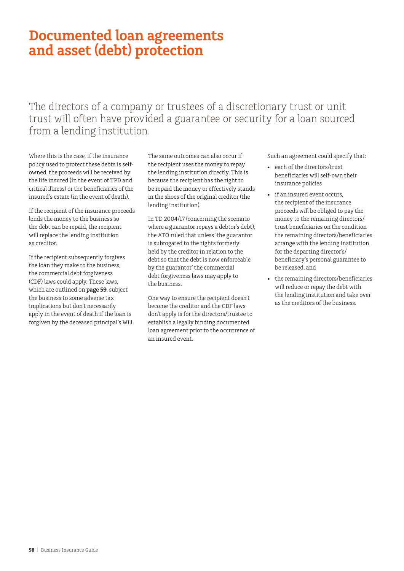## <span id="page-57-0"></span>**Documented loan agreements and asset (debt) protection**

The directors of a company or trustees of a discretionary trust or unit trust will often have provided a guarantee or security for a loan sourced from a lending institution.

Where this is the case, if the insurance policy used to protect these debts is selfowned, the proceeds will be received by the life insured (in the event of TPD and critical illness) or the beneficiaries of the insured's estate (in the event of death).

If the recipient of the insurance proceeds lends the money to the business so the debt can be repaid, the recipient will replace the lending institution as creditor.

If the recipient subsequently forgives the loan they make to the business, the commercial debt forgiveness (CDF) laws could apply. These laws, which are outlined on **page 59**, subject the business to some adverse tax implications but don't necessarily apply in the event of death if the loan is forgiven by the deceased principal's Will.

The same outcomes can also occur if the recipient uses the money to repay the lending institution directly. This is because the recipient has the right to be repaid the money or effectively stands in the shoes of the original creditor (the lending institution).

In TD 2004/17 (concerning the scenario where a guarantor repays a debtor's debt), the ATO ruled that unless 'the guarantor is subrogated to the rights formerly held by the creditor in relation to the debt so that the debt is now enforceable by the guarantor' the commercial debt forgiveness laws may apply to the business.

One way to ensure the recipient doesn't become the creditor and the CDF laws don't apply is for the directors/trustee to establish a legally binding documented loan agreement prior to the occurrence of an insured event.

Such an agreement could specify that:

- each of the directors/trust beneficiaries will self-own their insurance policies
- if an insured event occurs, the recipient of the insurance proceeds will be obliged to pay the money to the remaining directors/ trust beneficiaries on the condition the remaining directors/beneficiaries arrange with the lending institution for the departing director's/ beneficiary's personal guarantee to be released, and
- the remaining directors/beneficiaries will reduce or repay the debt with the lending institution and take over as the creditors of the business.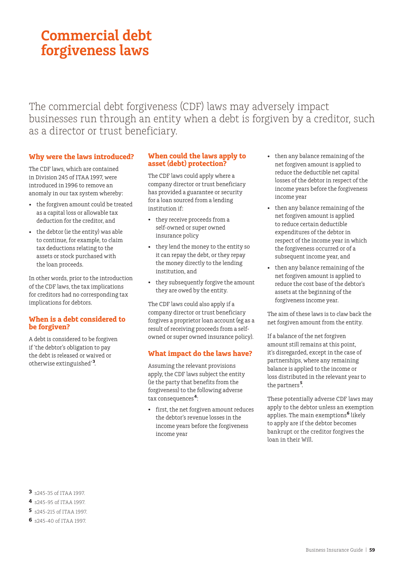# <span id="page-58-0"></span>**Commercial debt forgiveness laws**

The commercial debt forgiveness (CDF) laws may adversely impact businesses run through an entity when a debt is forgiven by a creditor, such as a director or trust beneficiary.

### **Why were the laws introduced?**

The CDF laws, which are contained in Division 245 of ITAA 1997, were introduced in 1996 to remove an anomaly in our tax system whereby:

- the forgiven amount could be treated as a capital loss or allowable tax deduction for the creditor, and
- the debtor (ie the entity) was able to continue, for example, to claim tax deductions relating to the assets or stock purchased with the loan proceeds.

In other words, prior to the introduction of the CDF laws, the tax implications for creditors had no corresponding tax implications for debtors.

#### **When is a debt considered to be forgiven?**

A debt is considered to be forgiven if 'the debtor's obligation to pay the debt is released or waived or otherwise extinguished'<sup>3</sup>.

#### **When could the laws apply to asset (debt) protection?**

The CDF laws could apply where a company director or trust beneficiary has provided a guarantee or security for a loan sourced from a lending institution if:

- they receive proceeds from a self-owned or super owned insurance policy
- they lend the money to the entity so it can repay the debt, or they repay the money directly to the lending institution, and
- they subsequently forgive the amount they are owed by the entity.

The CDF laws could also apply if a company director or trust beneficiary forgives a proprietor loan account (eg as a result of receiving proceeds from a selfowned or super owned insurance policy).

### **What impact do the laws have?**

Assuming the relevant provisions apply, the CDF laws subject the entity (ie the party that benefits from the forgiveness) to the following adverse tax consequences **<sup>4</sup>** :

first, the net forgiven amount reduces the debtor's revenue losses in the income years before the forgiveness income year

- then any balance remaining of the net forgiven amount is applied to reduce the deductible net capital losses of the debtor in respect of the income years before the forgiveness income year
- then any balance remaining of the net forgiven amount is applied to reduce certain deductible expenditures of the debtor in respect of the income year in which the forgiveness occurred or of a subsequent income year, and
- then any balance remaining of the net forgiven amount is applied to reduce the cost base of the debtor's assets at the beginning of the forgiveness income year.

The aim of these laws is to claw back the net forgiven amount from the entity.

If a balance of the net forgiven amount still remains at this point, it's disregarded, except in the case of partnerships, where any remaining balance is applied to the income or loss distributed in the relevant year to the partners **<sup>5</sup>** .

These potentially adverse CDF laws may apply to the debtor unless an exemption applies. The main exemptions**<sup>6</sup>** likely to apply are if the debtor becomes bankrupt or the creditor forgives the loan in their Will.

- **3** s245-35 of ITAA 1997.
- **4** s245-95 of ITAA 1997.
- **5** s245-215 of ITAA 1997.
- **6** s245-40 of ITAA 1997.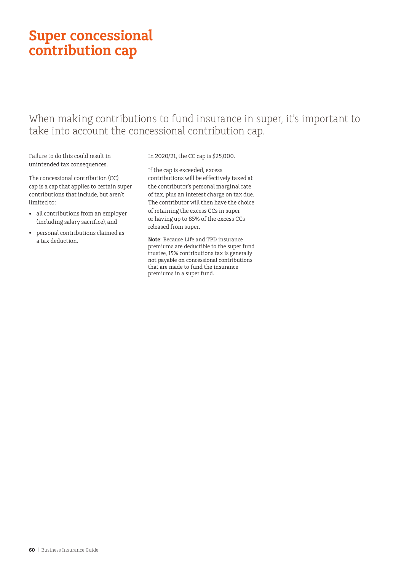# <span id="page-59-0"></span>**Super concessional contribution cap**

### When making contributions to fund insurance in super, it's important to take into account the concessional contribution cap.

Failure to do this could result in unintended tax consequences.

The concessional contribution (CC) cap is a cap that applies to certain super contributions that include, but aren't limited to:

- all contributions from an employer (including salary sacrifice), and
- personal contributions claimed as a tax deduction.

In 2020/21, the CC cap is \$25,000.

If the cap is exceeded, excess contributions will be effectively taxed at the contributor's personal marginal rate of tax, plus an interest charge on tax due. The contributor will then have the choice of retaining the excess CCs in super or having up to 85% of the excess CCs released from super.

**Note**: Because Life and TPD insurance premiums are deductible to the super fund trustee, 15% contributions tax is generally not payable on concessional contributions that are made to fund the insurance premiums in a super fund.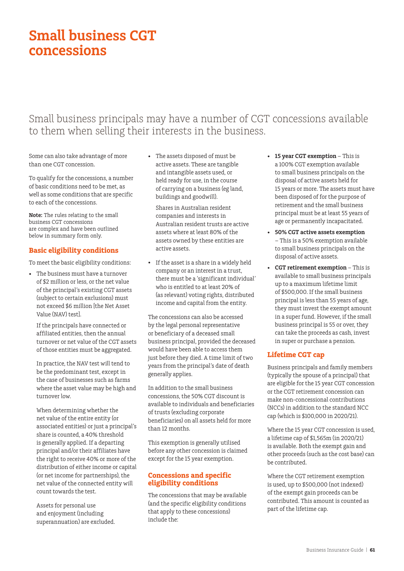# <span id="page-60-0"></span>**Small business CGT concessions**

### Small business principals may have a number of CGT concessions available to them when selling their interests in the business.

Some can also take advantage of more than one CGT concession.

To qualify for the concessions, a number of basic conditions need to be met, as well as some conditions that are specific to each of the concessions.

**Note:** The rules relating to the small business CGT concessions are complex and have been outlined below in summary form only.

### **Basic eligibility conditions**

To meet the basic eligibility conditions:

• The business must have a turnover of \$2 million or less, or the net value of the principal's existing CGT assets (subject to certain exclusions) must not exceed \$6 million [the Net Asset Value (NAV) test].

If the principals have connected or affiliated entities, then the annual turnover or net value of the CGT assets of those entities must be aggregated.

In practice, the NAV test will tend to be the predominant test, except in the case of businesses such as farms where the asset value may be high and turnover low.

When determining whether the net value of the entire entity (or associated entities) or just a principal's share is counted, a 40% threshold is generally applied. If a departing principal and/or their affiliates have the right to receive 40% or more of the distribution of either income or capital (or net income for partnerships), the net value of the connected entity will count towards the test.

Assets for personal use and enjoyment (including superannuation) are excluded. • The assets disposed of must be active assets. These are tangible and intangible assets used, or held ready for use, in the course of carrying on a business (eg land, buildings and goodwill).

Shares in Australian resident companies and interests in Australian resident trusts are active assets where at least 80% of the assets owned by these entities are active assets.

• If the asset is a share in a widely held company or an interest in a trust, there must be a 'significant individual' who is entitled to at least 20% of (as relevant) voting rights, distributed income and capital from the entity.

The concessions can also be accessed by the legal personal representative or beneficiary of a deceased small business principal, provided the deceased would have been able to access them just before they died. A time limit of two years from the principal's date of death generally applies.

In addition to the small business concessions, the 50% CGT discount is available to individuals and beneficiaries of trusts (excluding corporate beneficiaries) on all assets held for more than 12 months.

This exemption is generally utilised before any other concession is claimed except for the 15 year exemption.

#### **Concessions and specific eligibility conditions**

The concessions that may be available (and the specific eligibility conditions that apply to these concessions) include the:

- **15 year CGT exemption** This is a 100% CGT exemption available to small business principals on the disposal of active assets held for 15 years or more. The assets must have been disposed of for the purpose of retirement and the small business principal must be at least 55 years of age or permanently incapacitated.
- **50% CGT active assets exemption** – This is a 50% exemption available to small business principals on the disposal of active assets.
- **CGT retirement exemption** This is available to small business principals up to a maximum lifetime limit of \$500,000. If the small business principal is less than 55 years of age, they must invest the exempt amount in a super fund. However, if the small business principal is 55 or over, they can take the proceeds as cash, invest in super or purchase a pension.

### **Lifetime CGT cap**

Business principals and family members (typically the spouse of a principal) that are eligible for the 15 year CGT concession or the CGT retirement concession can make non-concessional contributions (NCCs) in addition to the standard NCC cap (which is \$100,000 in 2020/21).

Where the 15 year CGT concession is used, a lifetime cap of \$1,565m (in 2020/21) is available. Both the exempt gain and other proceeds (such as the cost base) can be contributed.

Where the CGT retirement exemption is used, up to \$500,000 (not indexed) of the exempt gain proceeds can be contributed. This amount is counted as part of the lifetime cap.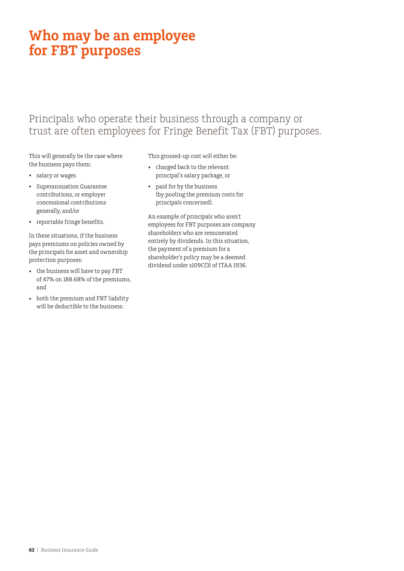# <span id="page-61-0"></span>**Who may be an employee for FBT purposes**

### Principals who operate their business through a company or trust are often employees for Fringe Benefit Tax (FBT) purposes.

This will generally be the case where the business pays them:

- salary or wages
- Superannuation Guarantee contributions, or employer concessional contributions generally, and/or
- reportable fringe benefits.

In these situations, if the business pays premiums on policies owned by the principals for asset and ownership protection purposes:

- the business will have to pay FBT of 47% on 188.68% of the premiums, and
- both the premium and FBT liability will be deductible to the business.

This grossed-up cost will either be:

- charged back to the relevant principal's salary package, or
- paid for by the business (by pooling the premium costs for principals concerned).

An example of principals who aren't employees for FBT purposes are company shareholders who are remunerated entirely by dividends. In this situation, the payment of a premium for a shareholder's policy may be a deemed dividend under s109C(3) of ITAA 1936.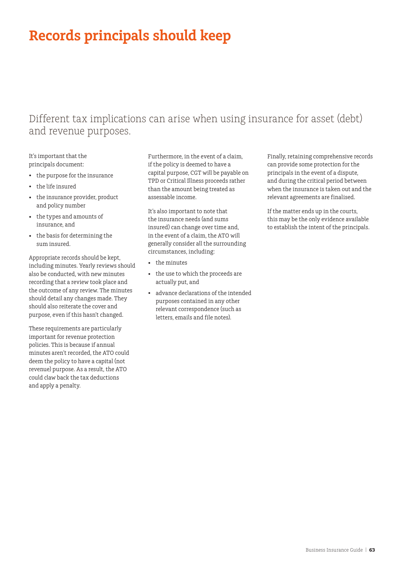# <span id="page-62-0"></span>**Records principals should keep**

## Different tax implications can arise when using insurance for asset (debt) and revenue purposes.

It's important that the principals document:

- the purpose for the insurance
- the life insured
- the insurance provider, product and policy number
- the types and amounts of insurance, and
- the basis for determining the sum insured.

Appropriate records should be kept, including minutes. Yearly reviews should also be conducted, with new minutes recording that a review took place and the outcome of any review. The minutes should detail any changes made. They should also reiterate the cover and purpose, even if this hasn't changed.

These requirements are particularly important for revenue protection policies. This is because if annual minutes aren't recorded, the ATO could deem the policy to have a capital (not revenue) purpose. As a result, the ATO could claw back the tax deductions and apply a penalty.

Furthermore, in the event of a claim, if the policy is deemed to have a capital purpose, CGT will be payable on TPD or Critical Illness proceeds rather than the amount being treated as assessable income.

It's also important to note that the insurance needs (and sums insured) can change over time and, in the event of a claim, the ATO will generally consider all the surrounding circumstances, including:

- the minutes
- the use to which the proceeds are actually put, and
- advance declarations of the intended purposes contained in any other relevant correspondence (such as letters, emails and file notes).

Finally, retaining comprehensive records can provide some protection for the principals in the event of a dispute, and during the critical period between when the insurance is taken out and the relevant agreements are finalised.

If the matter ends up in the courts, this may be the only evidence available to establish the intent of the principals.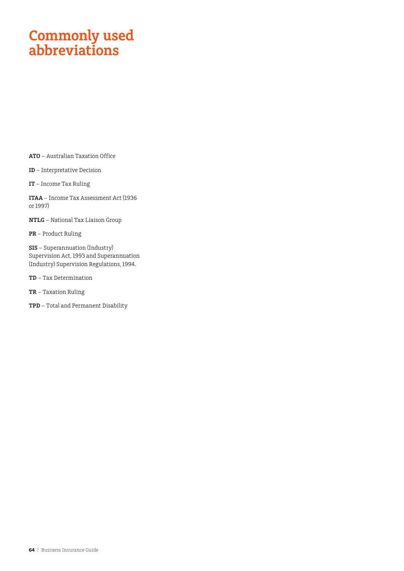# <span id="page-63-0"></span>**Commonly used abbreviations**

**ATO** – Australian Taxation Office

**ID** – Interpretative Decision

**IT** – Income Tax Ruling

**ITAA** – Income Tax Assessment Act (1936 or 1997)

**NTLG** – National Tax Liaison Group

**PR** – Product Ruling

**SIS** – Superannuation (Industry) Supervision Act, 1993 and Superannuation (Industry) Supervision Regulations, 1994.

**TD** – Tax Determination

**TR** – Taxation Ruling

**TPD** – Total and Permanent Disability